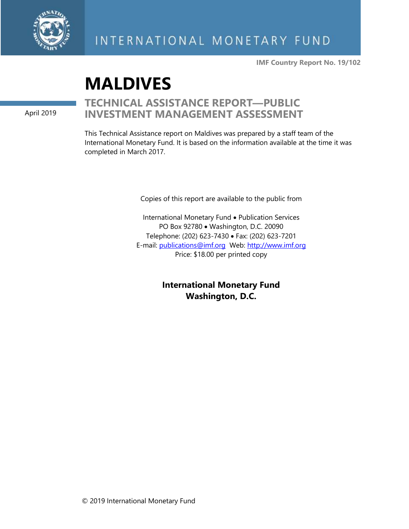

**IMF Country Report No. 19/102**

# **MALDIVES**

April 2019

## **TECHNICAL ASSISTANCE REPORT—PUBLIC INVESTMENT MANAGEMENT ASSESSMENT**

This Technical Assistance report on Maldives was prepared by a staff team of the International Monetary Fund. It is based on the information available at the time it was completed in March 2017.

Copies of this report are available to the public from

International Monetary Fund • Publication Services PO Box 92780 • Washington, D.C. 20090 Telephone: (202) 623-7430 • Fax: (202) 623-7201 E-mail: [publications@imf.org](mailto:publications@imf.org) Web: [http://www.imf.org](http://www.imf.org/) Price: \$18.00 per printed copy

> **International Monetary Fund Washington, D.C.**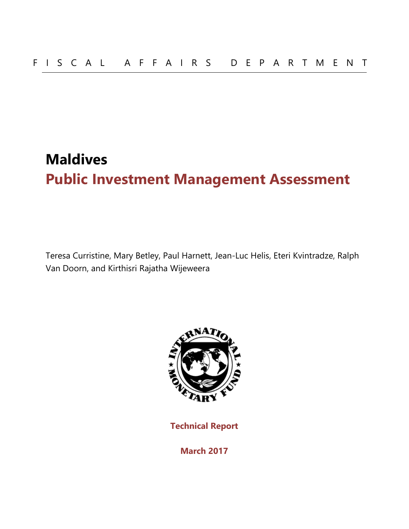## **Maldives Public Investment Management Assessment**

Teresa Curristine, Mary Betley, Paul Harnett, Jean-Luc Helis, Eteri Kvintradze, Ralph Van Doorn, and Kirthisri Rajatha Wijeweera



**Technical Report** 

**March 2017**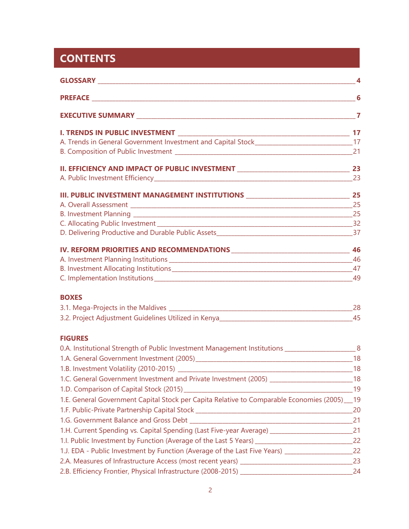## **CONTENTS**

| I. TRENDS IN PUBLIC INVESTMENT _______________<br>$\overline{\phantom{a}}$ 17                        |    |
|------------------------------------------------------------------------------------------------------|----|
| A. Trends in General Government Investment and Capital Stock__________________________________17     |    |
|                                                                                                      |    |
| II. EFFICIENCY AND IMPACT OF PUBLIC INVESTMENT ___________________________________ 23                |    |
|                                                                                                      |    |
| III. PUBLIC INVESTMENT MANAGEMENT INSTITUTIONS _________________________________ 25                  |    |
|                                                                                                      |    |
|                                                                                                      |    |
|                                                                                                      |    |
|                                                                                                      |    |
|                                                                                                      |    |
|                                                                                                      |    |
|                                                                                                      |    |
|                                                                                                      |    |
| <b>BOXES</b>                                                                                         |    |
|                                                                                                      |    |
|                                                                                                      |    |
| <b>FIGURES</b>                                                                                       |    |
| 0.A. Institutional Strength of Public Investment Management Institutions ________________________8   |    |
|                                                                                                      |    |
| 1.B. Investment Volatility (2010-2015)                                                               | 18 |
| 1.C. General Government Investment and Private Investment (2005) _________________________18         |    |
|                                                                                                      |    |
| 1.E. General Government Capital Stock per Capita Relative to Comparable Economies (2005) __ 19       |    |
|                                                                                                      |    |
|                                                                                                      |    |
| 1.H. Current Spending vs. Capital Spending (Last Five-year Average) _____________________________21  |    |
| 1.I. Public Investment by Function (Average of the Last 5 Years) _________________________________22 |    |
| 1.J. EDA - Public Investment by Function (Average of the Last Five Years) _______________________22  |    |
|                                                                                                      |    |
|                                                                                                      |    |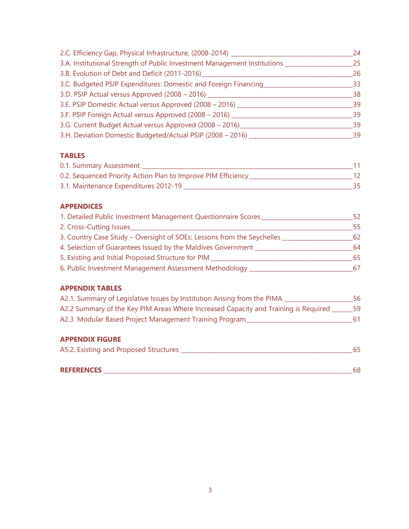| 2.C. Efficiency Gap, Physical Infrastructure, (2008-2014) ____                | 24 |
|-------------------------------------------------------------------------------|----|
| 3.A. Institutional Strength of Public Investment Management Institutions ____ | 25 |
| 3.B. Evolution of Debt and Deficit (2011-2016)                                | 26 |
| 3.C. Budgeted PSIP Expenditures: Domestic and Foreign Financing               | 33 |
| 3.D. PSIP Actual versus Approved (2008 - 2016) ____                           | 38 |
| 3.E. PSIP Domestic Actual versus Approved (2008 - 2016) _                     | 39 |
| 3.F. PSIP Foreign Actual versus Approved (2008 - 2016) ____                   | 39 |
| 3.G. Current Budget Actual versus Approved (2008 - 2016) __                   | 39 |
| 3.H. Deviation Domestic Budgeted/Actual PSIP (2008 - 2016)                    | 39 |

#### **TABLES**

| 0.1. Summary Assessment                                        |  |
|----------------------------------------------------------------|--|
| 0.2. Sequenced Priority Action Plan to Improve PIM Efficiency_ |  |
| 3.1. Maintenance Expenditures 2012-19                          |  |

#### **APPENDICES**

| 1. Detailed Public Investment Management Questionnaire Scores_         |     |
|------------------------------------------------------------------------|-----|
| 2. Cross-Cutting Issues                                                | 55. |
| 3. Country Case Study - Oversight of SOEs: Lessons from the Seychelles | 62  |
| 4. Selection of Guarantees Issued by the Maldives Government _         | 64  |
| 5. Existing and Initial Proposed Structure for PIM                     | 65  |
| 6. Public Investment Management Assessment Methodology _               | 67  |

#### **APPENDIX TABLES**

| A2.1. Summary of Legislative Issues by Institution Arising from the PIMA            | 56 |
|-------------------------------------------------------------------------------------|----|
| A2.2 Summary of the Key PIM Areas Where Increased Capacity and Training is Required | 59 |
| A2.3. Modular Based Project Management Training Program                             | 61 |
|                                                                                     |    |

#### **APPENDIX FIGURE**

| A5.2. Existing and Proposed Structures |  |  |  |
|----------------------------------------|--|--|--|
|                                        |  |  |  |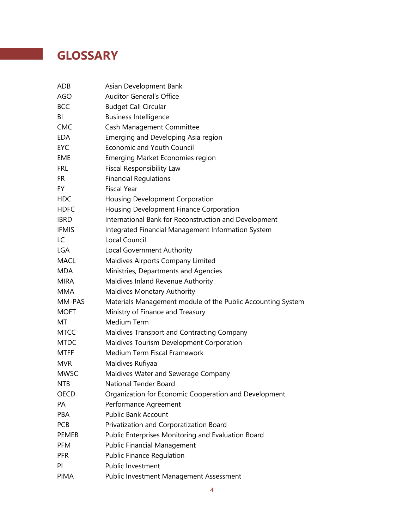## **GLOSSARY**

| ADB          | Asian Development Bank                                      |
|--------------|-------------------------------------------------------------|
| <b>AGO</b>   | <b>Auditor General's Office</b>                             |
| <b>BCC</b>   | <b>Budget Call Circular</b>                                 |
| BI           | <b>Business Intelligence</b>                                |
| <b>CMC</b>   | Cash Management Committee                                   |
| EDA          | Emerging and Developing Asia region                         |
| <b>EYC</b>   | <b>Economic and Youth Council</b>                           |
| EME          | <b>Emerging Market Economies region</b>                     |
| <b>FRL</b>   | Fiscal Responsibility Law                                   |
| <b>FR</b>    | <b>Financial Regulations</b>                                |
| FY.          | <b>Fiscal Year</b>                                          |
| <b>HDC</b>   | Housing Development Corporation                             |
| <b>HDFC</b>  | Housing Development Finance Corporation                     |
| <b>IBRD</b>  | International Bank for Reconstruction and Development       |
| <b>IFMIS</b> | Integrated Financial Management Information System          |
| LC           | Local Council                                               |
| <b>LGA</b>   | Local Government Authority                                  |
| <b>MACL</b>  | Maldives Airports Company Limited                           |
| <b>MDA</b>   | Ministries, Departments and Agencies                        |
| <b>MIRA</b>  | Maldives Inland Revenue Authority                           |
| <b>MMA</b>   | <b>Maldives Monetary Authority</b>                          |
| MM-PAS       | Materials Management module of the Public Accounting System |
| <b>MOFT</b>  | Ministry of Finance and Treasury                            |
| МT           | Medium Term                                                 |
| MTCC         | Maldives Transport and Contracting Company                  |
| <b>MTDC</b>  | Maldives Tourism Development Corporation                    |
| <b>MTFF</b>  | Medium Term Fiscal Framework                                |
| <b>MVR</b>   | Maldives Rufiyaa                                            |
| <b>MWSC</b>  | Maldives Water and Sewerage Company                         |
| <b>NTB</b>   | National Tender Board                                       |
| OECD         | Organization for Economic Cooperation and Development       |
| PA           | Performance Agreement                                       |
| PBA          | Public Bank Account                                         |
| <b>PCB</b>   | Privatization and Corporatization Board                     |
| <b>PEMEB</b> | Public Enterprises Monitoring and Evaluation Board          |
| <b>PFM</b>   | <b>Public Financial Management</b>                          |
| <b>PFR</b>   | <b>Public Finance Regulation</b>                            |
| PI           | Public Investment                                           |
| <b>PIMA</b>  | Public Investment Management Assessment                     |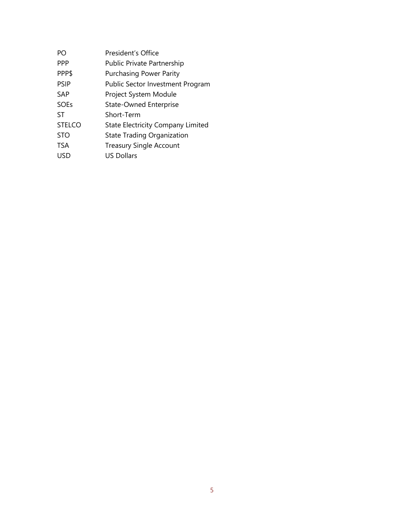| PΟ            | President's Office                       |
|---------------|------------------------------------------|
| <b>PPP</b>    | <b>Public Private Partnership</b>        |
| PPP\$         | <b>Purchasing Power Parity</b>           |
| <b>PSIP</b>   | Public Sector Investment Program         |
| <b>SAP</b>    | Project System Module                    |
| <b>SOEs</b>   | <b>State-Owned Enterprise</b>            |
| ST            | Short-Term                               |
| <b>STELCO</b> | <b>State Electricity Company Limited</b> |
| <b>STO</b>    | State Trading Organization               |
| <b>TSA</b>    | <b>Treasury Single Account</b>           |
| USD           | <b>US Dollars</b>                        |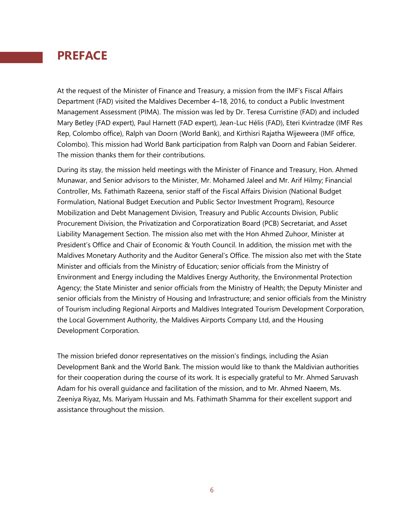## **PREFACE**

At the request of the Minister of Finance and Treasury, a mission from the IMF's Fiscal Affairs Department (FAD) visited the Maldives December 4–18, 2016, to conduct a Public Investment Management Assessment (PIMA). The mission was led by Dr. Teresa Curristine (FAD) and included Mary Betley (FAD expert), Paul Harnett (FAD expert), Jean-Luc Hélis (FAD), Eteri Kvintradze (IMF Res Rep, Colombo office), Ralph van Doorn (World Bank), and Kirthisri Rajatha Wijeweera (IMF office, Colombo). This mission had World Bank participation from Ralph van Doorn and Fabian Seiderer. The mission thanks them for their contributions.

During its stay, the mission held meetings with the Minister of Finance and Treasury, Hon. [Ahmed](https://www.facebook.com/ahmed.munawar.18)  [Munawar,](https://www.facebook.com/ahmed.munawar.18) and Senior advisors to the Minister, Mr. Mohamed Jaleel and Mr. Arif Hilmy; Financial Controller, Ms. Fathimath Razeena, senior staff of the Fiscal Affairs Division (National Budget Formulation, National Budget Execution and Public Sector Investment Program), Resource Mobilization and Debt Management Division, Treasury and Public Accounts Division, Public Procurement Division, the Privatization and Corporatization Board (PCB) Secretariat, and Asset Liability Management Section. The mission also met with the Hon Ahmed Zuhoor, Minister at President's Office and Chair of Economic & Youth Council. In addition, the mission met with the Maldives Monetary Authority and the Auditor General's Office. The mission also met with the State Minister and officials from the Ministry of Education; senior officials from the Ministry of Environment and Energy including the Maldives Energy Authority, the Environmental Protection Agency; the State Minister and senior officials from the Ministry of Health; the Deputy Minister and senior officials from the Ministry of Housing and Infrastructure; and senior officials from the Ministry of Tourism including Regional Airports and Maldives Integrated Tourism Development Corporation, the Local Government Authority, the Maldives Airports Company Ltd, and the Housing Development Corporation.

The mission briefed donor representatives on the mission's findings, including the Asian Development Bank and the World Bank. The mission would like to thank the Maldivian authorities for their cooperation during the course of its work. It is especially grateful to Mr. Ahmed Saruvash Adam for his overall guidance and facilitation of the mission, and to Mr. Ahmed Naeem, Ms. Zeeniya Riyaz, Ms. Mariyam Hussain and Ms. Fathimath Shamma for their excellent support and assistance throughout the mission.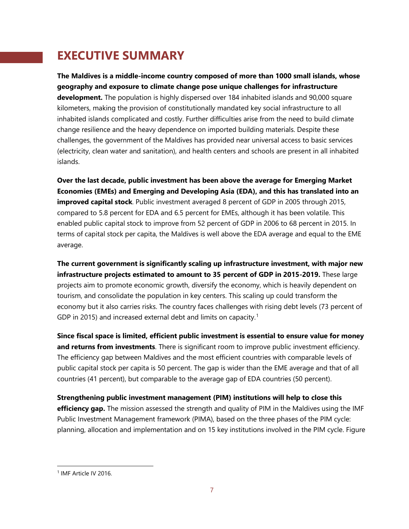## **EXECUTIVE SUMMARY**

**The Maldives is a middle-income country composed of more than 1000 small islands, whose geography and exposure to climate change pose unique challenges for infrastructure development.** The population is highly dispersed over 184 inhabited islands and 90,000 square kilometers, making the provision of constitutionally mandated key social infrastructure to all inhabited islands complicated and costly. Further difficulties arise from the need to build climate change resilience and the heavy dependence on imported building materials. Despite these challenges, the government of the Maldives has provided near universal access to basic services (electricity, clean water and sanitation), and health centers and schools are present in all inhabited islands.

**Over the last decade, public investment has been above the average for Emerging Market Economies (EMEs) and Emerging and Developing Asia (EDA), and this has translated into an improved capital stock**. Public investment averaged 8 percent of GDP in 2005 through 2015, compared to 5.8 percent for EDA and 6.5 percent for EMEs, although it has been volatile. This enabled public capital stock to improve from 52 percent of GDP in 2006 to 68 percent in 2015. In terms of capital stock per capita, the Maldives is well above the EDA average and equal to the EME average.

**The current government is significantly scaling up infrastructure investment, with major new infrastructure projects estimated to amount to 35 percent of GDP in 2015-2019.** These large projects aim to promote economic growth, diversify the economy, which is heavily dependent on tourism, and consolidate the population in key centers. This scaling up could transform the economy but it also carries risks. The country faces challenges with rising debt levels (73 percent of GDP in 20[1](#page-7-0)5) and increased external debt and limits on capacity.<sup>1</sup>

**Since fiscal space is limited, efficient public investment is essential to ensure value for money and returns from investments**. There is significant room to improve public investment efficiency. The efficiency gap between Maldives and the most efficient countries with comparable levels of public capital stock per capita is 50 percent. The gap is wider than the EME average and that of all countries (41 percent), but comparable to the average gap of EDA countries (50 percent).

**Strengthening public investment management (PIM) institutions will help to close this efficiency gap.** The mission assessed the strength and quality of PIM in the Maldives using the IMF Public Investment Management framework (PIMA), based on the three phases of the PIM cycle: planning, allocation and implementation and on 15 key institutions involved in the PIM cycle. Figure

<span id="page-7-0"></span><sup>1</sup> IMF Article IV 2016.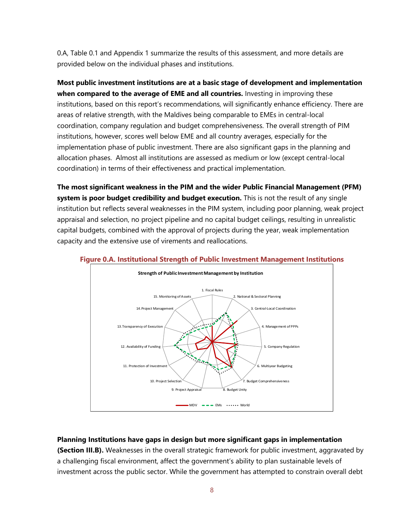0.A, Table 0.1 and Appendix 1 summarize the results of this assessment, and more details are provided below on the individual phases and institutions.

**Most public investment institutions are at a basic stage of development and implementation when compared to the average of EME and all countries.** Investing in improving these institutions, based on this report's recommendations, will significantly enhance efficiency. There are areas of relative strength, with the Maldives being comparable to EMEs in central-local coordination, company regulation and budget comprehensiveness. The overall strength of PIM institutions, however, scores well below EME and all country averages, especially for the implementation phase of public investment. There are also significant gaps in the planning and allocation phases. Almost all institutions are assessed as medium or low (except central-local coordination) in terms of their effectiveness and practical implementation.

**The most significant weakness in the PIM and the wider Public Financial Management (PFM) system is poor budget credibility and budget execution.** This is not the result of any single institution but reflects several weaknesses in the PIM system, including poor planning, weak project appraisal and selection, no project pipeline and no capital budget ceilings, resulting in unrealistic capital budgets, combined with the approval of projects during the year, weak implementation capacity and the extensive use of virements and reallocations.



#### **Figure 0.A. Institutional Strength of Public Investment Management Institutions**

#### **Planning Institutions have gaps in design but more significant gaps in implementation**

**(Section III.B).** Weaknesses in the overall strategic framework for public investment, aggravated by a challenging fiscal environment, affect the government's ability to plan sustainable levels of investment across the public sector. While the government has attempted to constrain overall debt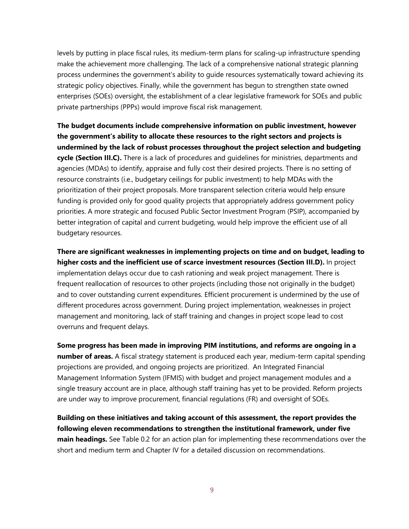levels by putting in place fiscal rules, its medium-term plans for scaling-up infrastructure spending make the achievement more challenging. The lack of a comprehensive national strategic planning process undermines the government's ability to guide resources systematically toward achieving its strategic policy objectives. Finally, while the government has begun to strengthen state owned enterprises (SOEs) oversight, the establishment of a clear legislative framework for SOEs and public private partnerships (PPPs) would improve fiscal risk management.

**The budget documents include comprehensive information on public investment, however the government's ability to allocate these resources to the right sectors and projects is undermined by the lack of robust processes throughout the project selection and budgeting cycle (Section III.C).** There is a lack of procedures and guidelines for ministries, departments and agencies (MDAs) to identify, appraise and fully cost their desired projects. There is no setting of resource constraints (i.e., budgetary ceilings for public investment) to help MDAs with the prioritization of their project proposals. More transparent selection criteria would help ensure funding is provided only for good quality projects that appropriately address government policy priorities. A more strategic and focused Public Sector Investment Program (PSIP), accompanied by better integration of capital and current budgeting, would help improve the efficient use of all budgetary resources.

**There are significant weaknesses in implementing projects on time and on budget, leading to higher costs and the inefficient use of scarce investment resources (Section III.D).** In project implementation delays occur due to cash rationing and weak project management. There is frequent reallocation of resources to other projects (including those not originally in the budget) and to cover outstanding current expenditures. Efficient procurement is undermined by the use of different procedures across government. During project implementation, weaknesses in project management and monitoring, lack of staff training and changes in project scope lead to cost overruns and frequent delays.

**Some progress has been made in improving PIM institutions, and reforms are ongoing in a number of areas.** A fiscal strategy statement is produced each year, medium-term capital spending projections are provided, and ongoing projects are prioritized. An Integrated Financial Management Information System (IFMIS) with budget and project management modules and a single treasury account are in place, although staff training has yet to be provided. Reform projects are under way to improve procurement, financial regulations (FR) and oversight of SOEs.

**Building on these initiatives and taking account of this assessment, the report provides the following eleven recommendations to strengthen the institutional framework, under five main headings.** See Table 0.2 for an action plan for implementing these recommendations over the short and medium term and Chapter IV for a detailed discussion on recommendations.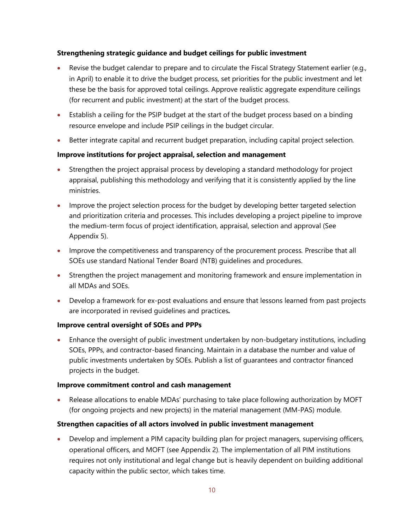#### **Strengthening strategic guidance and budget ceilings for public investment**

- Revise the budget calendar to prepare and to circulate the Fiscal Strategy Statement earlier (e.g., in April) to enable it to drive the budget process, set priorities for the public investment and let these be the basis for approved total ceilings. Approve realistic aggregate expenditure ceilings (for recurrent and public investment) at the start of the budget process.
- Establish a ceiling for the PSIP budget at the start of the budget process based on a binding resource envelope and include PSIP ceilings in the budget circular.
- Better integrate capital and recurrent budget preparation, including capital project selection*.*

#### **Improve institutions for project appraisal, selection and management**

- Strengthen the project appraisal process by developing a standard methodology for project appraisal, publishing this methodology and verifying that it is consistently applied by the line ministries.
- Improve the project selection process for the budget by developing better targeted selection and prioritization criteria and processes. This includes developing a project pipeline to improve the medium-term focus of project identification, appraisal, selection and approval (See Appendix 5).
- Improve the competitiveness and transparency of the procurement process*.* Prescribe that all SOEs use standard National Tender Board (NTB) guidelines and procedures.
- Strengthen the project management and monitoring framework and ensure implementation in all MDAs and SOEs.
- Develop a framework for ex-post evaluations and ensure that lessons learned from past projects are incorporated in revised guidelines and practices*.*

#### **Improve central oversight of SOEs and PPPs**

• Enhance the oversight of public investment undertaken by non-budgetary institutions, including SOEs, PPPs, and contractor-based financing. Maintain in a database the number and value of public investments undertaken by SOEs. Publish a list of guarantees and contractor financed projects in the budget.

#### **Improve commitment control and cash management**

• Release allocations to enable MDAs' purchasing to take place following authorization by MOFT (for ongoing projects and new projects) in the material management (MM-PAS) module.

#### **Strengthen capacities of all actors involved in public investment management**

• Develop and implement a PIM capacity building plan for project managers, supervising officers, operational officers, and MOFT (see Appendix 2). The implementation of all PIM institutions requires not only institutional and legal change but is heavily dependent on building additional capacity within the public sector, which takes time.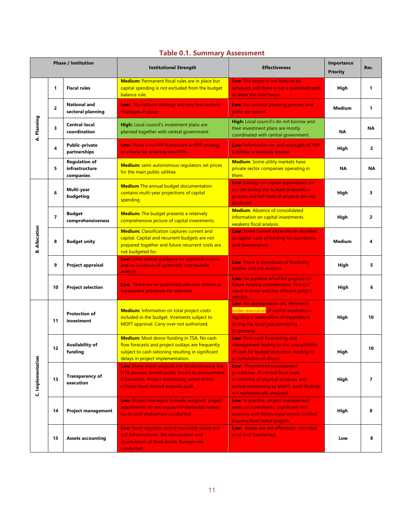|  |  |  | <b>Table 0.1. Summary Assessment</b> |
|--|--|--|--------------------------------------|
|--|--|--|--------------------------------------|

| <b>Phase / Institution</b> |                |                                                     | <b>Institutional Strength</b>                                                                                                                                                                     | <b>Effectiveness</b>                                                                                                                                                                         | Importance<br><b>Priority</b> | Rec.           |
|----------------------------|----------------|-----------------------------------------------------|---------------------------------------------------------------------------------------------------------------------------------------------------------------------------------------------------|----------------------------------------------------------------------------------------------------------------------------------------------------------------------------------------------|-------------------------------|----------------|
|                            | 1              | <b>Fiscal rules</b>                                 | Medium: Permanent fiscal rules are in place but<br>capital spending is not excluded from the budget<br>balance rule.                                                                              | <b>Low:</b> The target is not likely to be<br>achieved, and there is not a published path<br>to meet the debt target.                                                                        | High                          | 1              |
|                            | $\overline{2}$ | <b>National and</b><br>sectoral planning            | Low: No national strategy and very few sectoral<br>strategies in place.                                                                                                                           | <b>Low:</b> No national planning process and<br>plans are costed                                                                                                                             | <b>Medium</b>                 | 1              |
| A. Planning                | 3              | <b>Central-local</b><br>coordination                | High: Local council's investment plans are<br>planned together with central government.                                                                                                           | High: Local council's do not borrow and<br>their investment plans are mostly<br>coordinated with central government.                                                                         | NA                            | ΝA             |
|                            | 4              | <b>Public-private</b><br>partnerships               | Low: There is no PPP framework or PPP strategy<br>or criteria for entering into PPPs.                                                                                                             | Low: Information on, and oversight of, PPP<br>liabilities is relatively limited.                                                                                                             | High                          | $\overline{2}$ |
|                            | 5              | <b>Regulation of</b><br>infrastructure<br>companies | Medium: semi-autonomous regulators set prices<br>for the main public utilities.                                                                                                                   | <b>Medium:</b> Some utility markets have<br>private sector companies operating in<br>them.                                                                                                   | <b>NA</b>                     | <b>NA</b>      |
|                            | 6              | Multi-year<br>budgeting                             | <b>Medium</b> The annual budget documentation<br>contains multi-year projections of capital<br>spending.                                                                                          | Low: Ceilings on capital expenditure are<br>not set during the budget preparation<br>process and full costs of projects are not<br>disclosed.                                                | High                          | 3              |
|                            | $\overline{7}$ | <b>Budget</b><br>comprehensiveness                  | <b>Medium:</b> The budget presents a relatively<br>comprehensive picture of capital investments.                                                                                                  | <b>Medium.</b> Absence of consolidated<br>information on capital investments<br>weakens fiscal analysis.                                                                                     | High                          | 2              |
| <b>B. Allocation</b>       | 8              | <b>Budget unity</b>                                 | <b>Medium:</b> Classification captures current and<br>capital. Capital and recurrent budgets are not<br>prepared together and future recurrent costs are<br>not budgeted for.                     | Low: Some current expenditure recorded<br>as capital. Lack of funding for operations<br>and maintenance                                                                                      | <b>Medium</b>                 | 4              |
|                            | 9              | Project appraisal                                   | Low: Little central guidance on appraisal criteria,<br>and no evidence of systematic cost-benefit<br>analysis                                                                                     | Low: There is limited use of feasibility<br>studies and risk analysis.                                                                                                                       | High                          | 5              |
|                            | 10             | <b>Project selection</b>                            | Low: There are no published selection criteria or<br>transparent processes for selection                                                                                                          | Low: No pipeline of vetted projects for<br>future funding consideration. This can<br>result in lower and less efficient project<br>selectin.                                                 | High                          | 6              |
| C. Implementation          | 11             | <b>Protection of</b><br>investment                  | <b>Medium:</b> Information on total project costs<br>included in the budget. Virements subject to<br>MOFT approval. Carry over not authorized.                                                    | Low: No appropriation act. Persistent<br>under-execution of capital expenditure.<br>Significant reallocation of expenditure<br>during the fiscal year penalizing<br>investment.              | High                          | 10             |
|                            | 12             | Availability of<br>funding                          | <b>Medium:</b> Most donor funding in TSA. No cash<br>flow forecasts and project outlays are frequently<br>subject to cash rationing resulting in significant<br>delays in project implementation. | Low: Poor cash forecasting and<br>management leading to the unavailability<br>of cash for budget execution, leading to<br>accumulation of arrears.                                           | High                          | 10             |
|                            | 13             | <b>Transparency of</b><br>execution                 | Low: Many major projects not tendered using the<br>NTB process; limited public access to procurement<br>information. Project monitoring varied at line<br>ministry level, limited external audit. | <b>Low:</b> Fragmented procurement<br>procedures. At central level weak<br>monitoring of physical progress and<br>central monitoring by MOFT, audit findings<br>not systematically analyzed. | High                          | 7              |
|                            | 14             | <b>Project management</b>                           | <b>Low:</b> Project managers formally assigned, project<br>adjustments do not require fundamental review,<br>no ex-post evaluations conducted.                                                    | Low: In practice, project management<br>relies on consultants. Significant cost<br>overruns and delays experienced. Limited<br>learning from failed projects.                                | High                          | 8              |
|                            | 15             | <b>Assets accounting</b>                            | <b>Low:</b> Asset registers record moveable assets but<br>not infrastructures. No reevaluation and<br>depreciation of fixed assets. Surveys not<br>conducted.                                     | Low: Assets are not effectively, recorded,<br>used and maintained.                                                                                                                           | Low                           | 8              |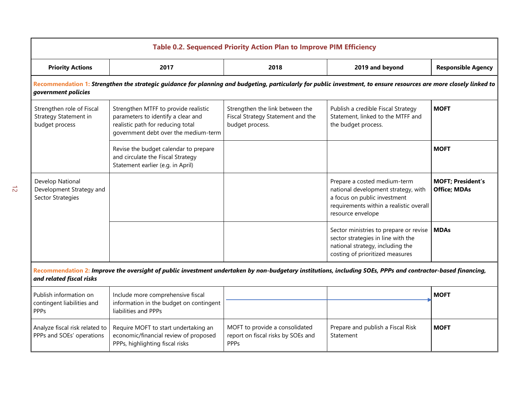| <b>Table 0.2. Sequenced Priority Action Plan to Improve PIM Efficiency</b>                                                                                                              |                                                                                                                                                                    |                                                                                         |                                                                                                                                                                     |                                                 |  |
|-----------------------------------------------------------------------------------------------------------------------------------------------------------------------------------------|--------------------------------------------------------------------------------------------------------------------------------------------------------------------|-----------------------------------------------------------------------------------------|---------------------------------------------------------------------------------------------------------------------------------------------------------------------|-------------------------------------------------|--|
| <b>Priority Actions</b>                                                                                                                                                                 | 2017                                                                                                                                                               | 2018                                                                                    | 2019 and beyond                                                                                                                                                     | <b>Responsible Agency</b>                       |  |
| government policies                                                                                                                                                                     | Recommendation 1: Strengthen the strategic guidance for planning and budgeting, particularly for public investment, to ensure resources are more closely linked to |                                                                                         |                                                                                                                                                                     |                                                 |  |
| Strengthen role of Fiscal<br><b>Strategy Statement in</b><br>budget process                                                                                                             | Strengthen MTFF to provide realistic<br>parameters to identify a clear and<br>realistic path for reducing total<br>government debt over the medium-term            | Strengthen the link between the<br>Fiscal Strategy Statement and the<br>budget process. | Publish a credible Fiscal Strategy<br>Statement, linked to the MTFF and<br>the budget process.                                                                      | <b>MOFT</b>                                     |  |
|                                                                                                                                                                                         | Revise the budget calendar to prepare<br>and circulate the Fiscal Strategy<br>Statement earlier (e.g. in April)                                                    |                                                                                         |                                                                                                                                                                     | <b>MOFT</b>                                     |  |
| Develop National<br>Development Strategy and<br><b>Sector Strategies</b>                                                                                                                |                                                                                                                                                                    |                                                                                         | Prepare a costed medium-term<br>national development strategy, with<br>a focus on public investment<br>requirements within a realistic overall<br>resource envelope | <b>MOFT; President's</b><br><b>Office; MDAs</b> |  |
|                                                                                                                                                                                         |                                                                                                                                                                    |                                                                                         | Sector ministries to prepare or revise<br>sector strategies in line with the<br>national strategy, including the<br>costing of prioritized measures                 | <b>MDAs</b>                                     |  |
| Recommendation 2: Improve the oversight of public investment undertaken by non-budgetary institutions, including SOEs, PPPs and contractor-based financing,<br>and related fiscal risks |                                                                                                                                                                    |                                                                                         |                                                                                                                                                                     |                                                 |  |
| Publish information on<br>contingent liabilities and<br><b>PPPs</b>                                                                                                                     | Include more comprehensive fiscal<br>information in the budget on contingent<br>liabilities and PPPs                                                               |                                                                                         |                                                                                                                                                                     | <b>MOFT</b>                                     |  |
| Analyze fiscal risk related to<br>PPPs and SOEs' operations                                                                                                                             | Require MOFT to start undertaking an<br>economic/financial review of proposed<br>PPPs, highlighting fiscal risks                                                   | MOFT to provide a consolidated<br>report on fiscal risks by SOEs and<br><b>PPPs</b>     | Prepare and publish a Fiscal Risk<br>Statement                                                                                                                      | <b>MOFT</b>                                     |  |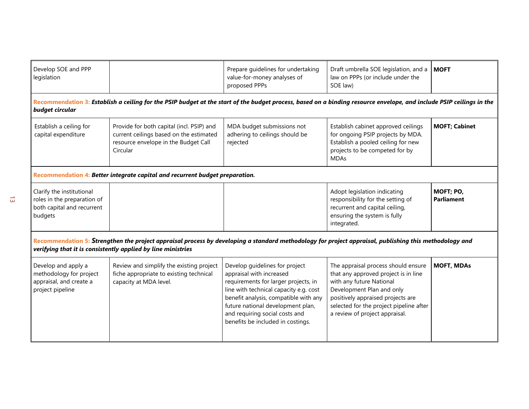| Develop SOE and PPP<br>legislation                                                                                                                                                                                     |                                                                                                                                                                      | Prepare quidelines for undertaking<br>value-for-money analyses of<br>proposed PPPs                                                                                                                                                                                                                | Draft umbrella SOE legislation, and a<br>law on PPPs (or include under the<br>SOE law)                                                                                                                                                                 | <b>MOFT</b>                    |  |
|------------------------------------------------------------------------------------------------------------------------------------------------------------------------------------------------------------------------|----------------------------------------------------------------------------------------------------------------------------------------------------------------------|---------------------------------------------------------------------------------------------------------------------------------------------------------------------------------------------------------------------------------------------------------------------------------------------------|--------------------------------------------------------------------------------------------------------------------------------------------------------------------------------------------------------------------------------------------------------|--------------------------------|--|
| budget circular                                                                                                                                                                                                        | Recommendation 3: Establish a ceiling for the PSIP budget at the start of the budget process, based on a binding resource envelope, and include PSIP ceilings in the |                                                                                                                                                                                                                                                                                                   |                                                                                                                                                                                                                                                        |                                |  |
| Establish a ceiling for<br>capital expenditure                                                                                                                                                                         | Provide for both capital (incl. PSIP) and<br>current ceilings based on the estimated<br>resource envelope in the Budget Call<br>Circular                             | MDA budget submissions not<br>adhering to ceilings should be<br>rejected                                                                                                                                                                                                                          | Establish cabinet approved ceilings<br>for ongoing PSIP projects by MDA.<br>Establish a pooled ceiling for new<br>projects to be competed for by<br><b>MDAs</b>                                                                                        | <b>MOFT; Cabinet</b>           |  |
|                                                                                                                                                                                                                        | Recommendation 4: Better integrate capital and recurrent budget preparation.                                                                                         |                                                                                                                                                                                                                                                                                                   |                                                                                                                                                                                                                                                        |                                |  |
| Clarify the institutional<br>roles in the preparation of<br>both capital and recurrent<br>budgets                                                                                                                      |                                                                                                                                                                      |                                                                                                                                                                                                                                                                                                   | Adopt legislation indicating<br>responsibility for the setting of<br>recurrent and capital ceiling,<br>ensuring the system is fully<br>integrated.                                                                                                     | MOFT; PO,<br><b>Parliament</b> |  |
| Recommendation 5: Strengthen the project appraisal process by developing a standard methodology for project appraisal, publishing this methodology and<br>verifying that it is consistently applied by line ministries |                                                                                                                                                                      |                                                                                                                                                                                                                                                                                                   |                                                                                                                                                                                                                                                        |                                |  |
| Develop and apply a<br>methodology for project<br>appraisal, and create a<br>project pipeline                                                                                                                          | Review and simplify the existing project<br>fiche appropriate to existing technical<br>capacity at MDA level.                                                        | Develop guidelines for project<br>appraisal with increased<br>requirements for larger projects, in<br>line with technical capacity e.g. cost<br>benefit analysis, compatible with any<br>future national development plan,<br>and requiring social costs and<br>benefits be included in costings. | The appraisal process should ensure<br>that any approved project is in line<br>with any future National<br>Development Plan and only<br>positively appraised projects are<br>selected for the project pipeline after<br>a review of project appraisal. | <b>MOFT, MDAs</b>              |  |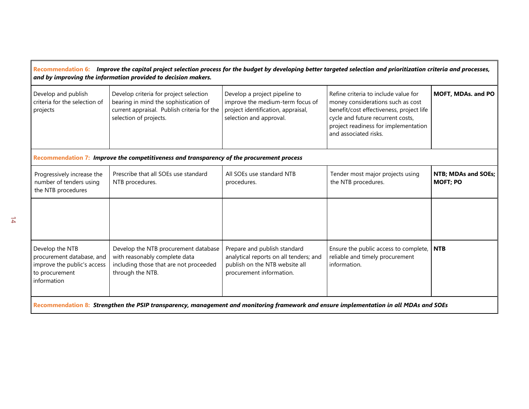## **Recommendation 6:** *Improve the capital project selection process for the budget by developing better targeted selection and prioritization criteria and processes, and by improving the information provided to decision makers.*  $\mathcal{L}$

| Develop and publish<br>criteria for the selection of<br>projects                                             | Develop criteria for project selection<br>bearing in mind the sophistication of<br>current appraisal. Publish criteria for the<br>selection of projects. | Develop a project pipeline to<br>improve the medium-term focus of<br>project identification, appraisal,<br>selection and approval.   | Refine criteria to include value for<br>money considerations such as cost<br>benefit/cost effectiveness, project life<br>cycle and future recurrent costs,<br>project readiness for implementation<br>and associated risks. | MOFT, MDAs. and PO                     |
|--------------------------------------------------------------------------------------------------------------|----------------------------------------------------------------------------------------------------------------------------------------------------------|--------------------------------------------------------------------------------------------------------------------------------------|-----------------------------------------------------------------------------------------------------------------------------------------------------------------------------------------------------------------------------|----------------------------------------|
|                                                                                                              | Recommendation 7: Improve the competitiveness and transparency of the procurement process                                                                |                                                                                                                                      |                                                                                                                                                                                                                             |                                        |
| Progressively increase the<br>number of tenders using<br>the NTB procedures                                  | Prescribe that all SOEs use standard<br>NTB procedures.                                                                                                  | All SOEs use standard NTB<br>procedures.                                                                                             | Tender most major projects using<br>the NTB procedures.                                                                                                                                                                     | NTB; MDAs and SOEs;<br><b>MOFT; PO</b> |
|                                                                                                              |                                                                                                                                                          |                                                                                                                                      |                                                                                                                                                                                                                             |                                        |
| Develop the NTB<br>procurement database, and<br>improve the public's access<br>to procurement<br>information | Develop the NTB procurement database<br>with reasonably complete data<br>including those that are not proceeded<br>through the NTB.                      | Prepare and publish standard<br>analytical reports on all tenders; and<br>publish on the NTB website all<br>procurement information. | Ensure the public access to complete,<br>reliable and timely procurement<br>information.                                                                                                                                    | <b>NTB</b>                             |
|                                                                                                              |                                                                                                                                                          |                                                                                                                                      |                                                                                                                                                                                                                             |                                        |

**Recommendation 8:** *Strengthen the PSIP transparency, management and monitoring framework and ensure implementation in all MDAs and SOEs*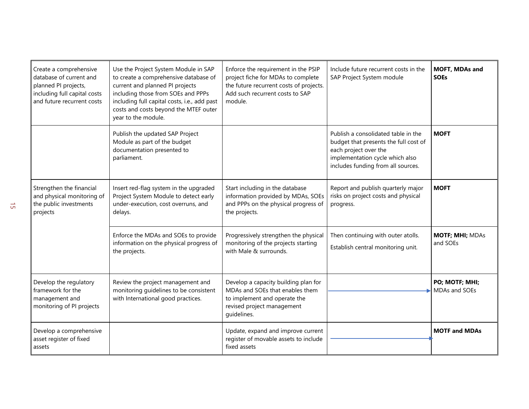| Create a comprehensive<br>database of current and<br>planned PI projects,<br>including full capital costs<br>and future recurrent costs | Use the Project System Module in SAP<br>to create a comprehensive database of<br>current and planned PI projects<br>including those from SOEs and PPPs<br>including full capital costs, i.e., add past<br>costs and costs beyond the MTEF outer<br>year to the module. | Enforce the requirement in the PSIP<br>project fiche for MDAs to complete<br>the future recurrent costs of projects.<br>Add such recurrent costs to SAP<br>module. | Include future recurrent costs in the<br>SAP Project System module                                                                                                             | MOFT, MDAs and<br><b>SOEs</b>      |
|-----------------------------------------------------------------------------------------------------------------------------------------|------------------------------------------------------------------------------------------------------------------------------------------------------------------------------------------------------------------------------------------------------------------------|--------------------------------------------------------------------------------------------------------------------------------------------------------------------|--------------------------------------------------------------------------------------------------------------------------------------------------------------------------------|------------------------------------|
|                                                                                                                                         | Publish the updated SAP Project<br>Module as part of the budget<br>documentation presented to<br>parliament.                                                                                                                                                           |                                                                                                                                                                    | Publish a consolidated table in the<br>budget that presents the full cost of<br>each project over the<br>implementation cycle which also<br>includes funding from all sources. | <b>MOFT</b>                        |
| Strengthen the financial<br>and physical monitoring of<br>the public investments<br>projects                                            | Insert red-flag system in the upgraded<br>Project System Module to detect early<br>under-execution, cost overruns, and<br>delays.                                                                                                                                      | Start including in the database<br>information provided by MDAs, SOEs<br>and PPPs on the physical progress of<br>the projects.                                     | Report and publish quarterly major<br>risks on project costs and physical<br>progress.                                                                                         | <b>MOFT</b>                        |
|                                                                                                                                         | Enforce the MDAs and SOEs to provide<br>information on the physical progress of<br>the projects.                                                                                                                                                                       | Progressively strengthen the physical<br>monitoring of the projects starting<br>with Male & surrounds.                                                             | Then continuing with outer atolls.<br>Establish central monitoring unit.                                                                                                       | <b>MOTF; MHI; MDAs</b><br>and SOEs |
| Develop the regulatory<br>framework for the<br>management and<br>monitoring of PI projects                                              | Review the project management and<br>monitoring guidelines to be consistent<br>with International good practices.                                                                                                                                                      | Develop a capacity building plan for<br>MDAs and SOEs that enables them<br>to implement and operate the<br>revised project management<br>quidelines.               |                                                                                                                                                                                | PO; MOTF; MHI;<br>MDAs and SOEs    |
| Develop a comprehensive<br>asset register of fixed<br>assets                                                                            |                                                                                                                                                                                                                                                                        | Update, expand and improve current<br>register of movable assets to include<br>fixed assets                                                                        |                                                                                                                                                                                | <b>MOTF and MDAs</b>               |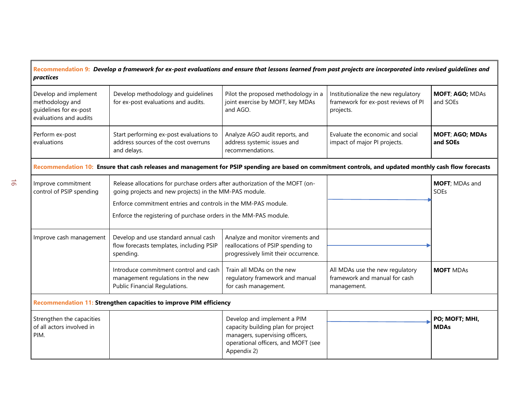#### **Recommendation 9:** *Develop a framework for ex-post evaluations and ensure that lessons learned from past projects are incorporated into revised guidelines and practices*

| Develop and implement<br>methodology and<br>quidelines for ex-post<br>evaluations and audits | Develop methodology and guidelines<br>for ex-post evaluations and audits.                      | Pilot the proposed methodology in a<br>joint exercise by MOFT, key MDAs<br>and AGO. | Institutionalize the new regulatory<br>framework for ex-post reviews of PI<br>projects. | <b>MOFT; AGO; MDAs</b><br>and SOEs |
|----------------------------------------------------------------------------------------------|------------------------------------------------------------------------------------------------|-------------------------------------------------------------------------------------|-----------------------------------------------------------------------------------------|------------------------------------|
| Perform ex-post<br>evaluations                                                               | Start performing ex-post evaluations to<br>address sources of the cost overruns<br>and delays. | Analyze AGO audit reports, and<br>address systemic issues and<br>recommendations.   | Evaluate the economic and social<br>impact of major PI projects.                        | <b>MOFT; AGO; MDAs</b><br>and SOEs |

**Recommendation 10: Ensure that** *c***ash releases and management for PSIP spending are based on commitment controls, and updated monthly cash flow forecasts**

| Improve commitment<br>control of PSIP spending                 | Release allocations for purchase orders after authorization of the MOFT (on-<br>going projects and new projects) in the MM-PAS module.<br>Enforce commitment entries and controls in the MM-PAS module.<br>Enforce the registering of purchase orders in the MM-PAS module. |                                                                                                                                                            |                                                                                 | <b>MOFT</b> ; MDAs and<br><b>SOEs</b> |  |  |
|----------------------------------------------------------------|-----------------------------------------------------------------------------------------------------------------------------------------------------------------------------------------------------------------------------------------------------------------------------|------------------------------------------------------------------------------------------------------------------------------------------------------------|---------------------------------------------------------------------------------|---------------------------------------|--|--|
| Improve cash management                                        | Develop and use standard annual cash<br>flow forecasts templates, including PSIP<br>spending.                                                                                                                                                                               | Analyze and monitor virements and<br>reallocations of PSIP spending to<br>progressively limit their occurrence.                                            |                                                                                 |                                       |  |  |
|                                                                | Introduce commitment control and cash I<br>management regulations in the new<br>Public Financial Regulations.                                                                                                                                                               | Train all MDAs on the new<br>regulatory framework and manual<br>for cash management.                                                                       | All MDAs use the new regulatory<br>framework and manual for cash<br>management. | <b>MOFT MDAS</b>                      |  |  |
|                                                                | <b>Recommendation 11: Strengthen capacities to improve PIM efficiency</b>                                                                                                                                                                                                   |                                                                                                                                                            |                                                                                 |                                       |  |  |
| Strengthen the capacities<br>of all actors involved in<br>PIM. |                                                                                                                                                                                                                                                                             | Develop and implement a PIM<br>capacity building plan for project<br>managers, supervising officers,<br>operational officers, and MOFT (see<br>Appendix 2) |                                                                                 | PO; MOFT; MHI,<br><b>MDAs</b>         |  |  |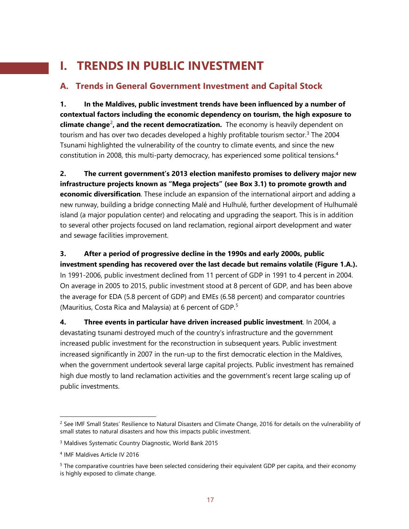## **I. TRENDS IN PUBLIC INVESTMENT**

## **A. Trends in General Government Investment and Capital Stock**

**1. In the Maldives, public investment trends have been influenced by a number of contextual factors including the economic dependency on tourism, the high exposure to climate change<sup>[2](#page-17-0)</sup>, and the recent democratization.** The economy is heavily dependent on tourism and has over two decades developed a highly profitable tourism sector. [3](#page-17-1) The 2004 Tsunami highlighted the vulnerability of the country to climate events, and since the new constitution in 2008, this multi-party democracy, has experienced some political tensions.[4](#page-17-2)

**2. The current government's 2013 election manifesto promises to delivery major new infrastructure projects known as "Mega projects" (see Box 3.1) to promote growth and economic diversification**. These include an expansion of the international airport and adding a new runway, building a bridge connecting Malé and Hulhulé, further development of Hulhumalé island (a major population center) and relocating and upgrading the seaport. This is in addition to several other projects focused on land reclamation, regional airport development and water and sewage facilities improvement.

**3. After a period of progressive decline in the 1990s and early 2000s, public investment spending has recovered over the last decade but remains volatile (Figure 1.A.).**  In 1991-2006, public investment declined from 11 percent of GDP in 1991 to 4 percent in 2004. On average in 2005 to 2015, public investment stood at 8 percent of GDP, and has been above the average for EDA (5.8 percent of GDP) and EMEs (6.58 percent) and comparator countries (Mauritius, Costa Rica and Malaysia) at 6 percent of GDP.[5](#page-17-3)

**4. Three events in particular have driven increased public investment**. In 2004, a devastating tsunami destroyed much of the country's infrastructure and the government increased public investment for the reconstruction in subsequent years. Public investment increased significantly in 2007 in the run-up to the first democratic election in the Maldives, when the government undertook several large capital projects. Public investment has remained high due mostly to land reclamation activities and the government's recent large scaling up of public investments.

<span id="page-17-0"></span><sup>&</sup>lt;sup>2</sup> See IMF Small States' Resilience to Natural Disasters and Climate Change, 2016 for details on the vulnerability of small states to natural disasters and how this impacts public investment.

<span id="page-17-1"></span><sup>3</sup> Maldives Systematic Country Diagnostic, World Bank 2015

<span id="page-17-2"></span><sup>4</sup> IMF Maldives Article IV 2016

<span id="page-17-3"></span><sup>5</sup> The comparative countries have been selected considering their equivalent GDP per capita, and their economy is highly exposed to climate change.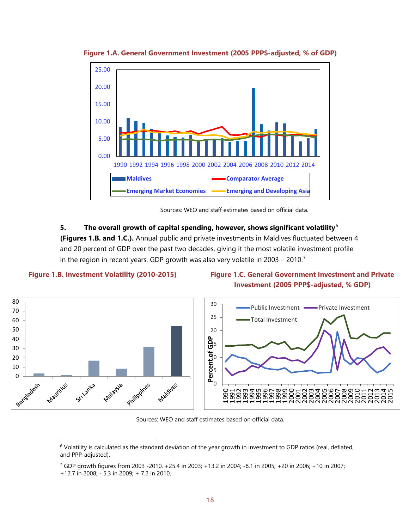

**Figure 1.A. General Government Investment (2005 PPP\$-adjusted, % of GDP)**



#### **5. The overall growth of capital spending, however, shows significant volatility**[6](#page-18-0)

**(Figures 1.B. and 1.C.).** Annual public and private investments in Maldives fluctuated between 4 and 20 percent of GDP over the past two decades, giving it the most volatile investment profile in the region in recent years. GDP growth was also very volatile in 2003 – 2010.<sup>[7](#page-18-1)</sup>



#### **Figure 1.B. Investment Volatility (2010-2015) Figure 1.C. General Government Investment and Private Investment (2005 PPP\$-adjusted, % GDP)**



Sources: WEO and staff estimates based on official data.

<span id="page-18-1"></span>GDP growth figures from 2003 -2010. +25.4 in 2003; +13.2 in 2004; -8.1 in 2005; +20 in 2006; +10 in 2007;

<span id="page-18-0"></span><sup>&</sup>lt;sup>6</sup> Volatility is calculated as the standard deviation of the year growth in investment to GDP ratios (real, deflated, and PPP-adjusted).

<sup>+12.7</sup> in 2008; - 5.3 in 2009; + 7.2 in 2010.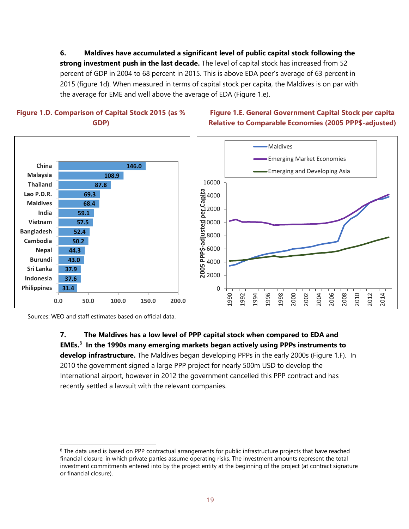**6. Maldives have accumulated a significant level of public capital stock following the strong investment push in the last decade.** The level of capital stock has increased from 52 percent of GDP in 2004 to 68 percent in 2015. This is above EDA peer's average of 63 percent in 2015 (figure 1d). When measured in terms of capital stock per capita, the Maldives is on par with the average for EME and well above the average of EDA (Figure 1.e).



#### **Figure 1.E. General Government Capital Stock per capita Relative to Comparable Economies (2005 PPP\$-adjusted)**



Sources: WEO and staff estimates based on official data.

**7. The Maldives has a low level of PPP capital stock when compared to EDA and EMEs.**[8](#page-19-0)  **In the 1990s many emerging markets began actively using PPPs instruments to develop infrastructure.** The Maldives began developing PPPs in the early 2000s (Figure 1.F). In 2010 the government signed a large PPP project for nearly 500m USD to develop the International airport, however in 2012 the government cancelled this PPP contract and has recently settled a lawsuit with the relevant companies.

<span id="page-19-0"></span><sup>&</sup>lt;sup>8</sup> The data used is based on PPP contractual arrangements for public infrastructure projects that have reached financial closure, in which private parties assume operating risks. The investment amounts represent the total investment commitments entered into by the project entity at the beginning of the project (at contract signature or financial closure).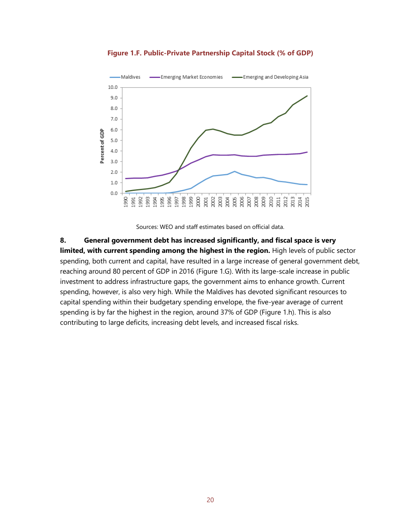

**Figure 1.F. Public-Private Partnership Capital Stock (% of GDP)**

Sources: WEO and staff estimates based on official data.

**8. General government debt has increased significantly, and fiscal space is very limited, with current spending among the highest in the region.** High levels of public sector spending, both current and capital, have resulted in a large increase of general government debt, reaching around 80 percent of GDP in 2016 (Figure 1.G). With its large-scale increase in public investment to address infrastructure gaps, the government aims to enhance growth. Current spending, however, is also very high. While the Maldives has devoted significant resources to capital spending within their budgetary spending envelope, the five-year average of current spending is by far the highest in the region, around 37% of GDP (Figure 1.h). This is also contributing to large deficits, increasing debt levels, and increased fiscal risks.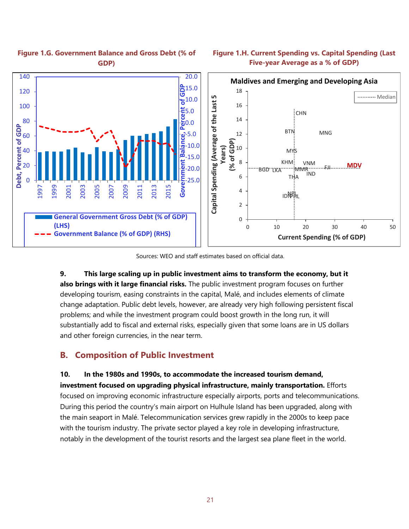

#### **Figure 1.G. Government Balance and Gross Debt (% of GDP)**

#### **Figure 1.H. Current Spending vs. Capital Spending (Last Five-year Average as a % of GDP)**

Sources: WEO and staff estimates based on official data.

**9. This large scaling up in public investment aims to transform the economy, but it also brings with it large financial risks.** The public investment program focuses on further developing tourism, easing constraints in the capital, Malé, and includes elements of climate change adaptation. Public debt levels, however, are already very high following persistent fiscal problems; and while the investment program could boost growth in the long run, it will substantially add to fiscal and external risks, especially given that some loans are in US dollars and other foreign currencies, in the near term.

## **B. Composition of Public Investment**

**10. In the 1980s and 1990s, to accommodate the increased tourism demand,** 

**investment focused on upgrading physical infrastructure, mainly transportation.** Efforts focused on improving economic infrastructure especially airports, ports and telecommunications. During this period the country's main airport on Hulhule Island has been upgraded, along with the main seaport in Malé. Telecommunication services grew rapidly in the 2000s to keep pace with the tourism industry. The private sector played a key role in developing infrastructure, notably in the development of the tourist resorts and the largest sea plane fleet in the world.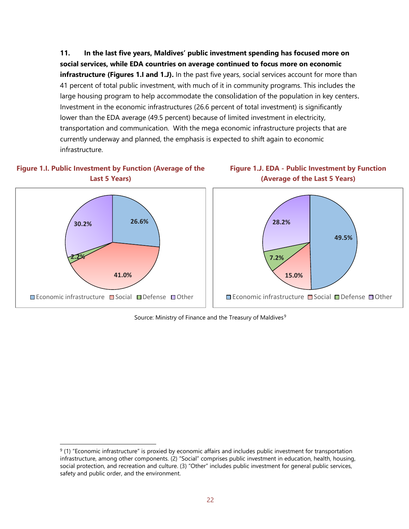**11. In the last five years, Maldives' public investment spending has focused more on social services, while EDA countries on average continued to focus more on economic infrastructure (Figures 1.I and 1.J).** In the past five years, social services account for more than 41 percent of total public investment, with much of it in community programs. This includes the large housing program to help accommodate the consolidation of the population in key centers. Investment in the economic infrastructures (26.6 percent of total investment) is significantly lower than the EDA average (49.5 percent) because of limited investment in electricity, transportation and communication. With the mega economic infrastructure projects that are currently underway and planned, the emphasis is expected to shift again to economic infrastructure.









Source: Ministry of Finance and the Treasury of Maldives<sup>[9](#page-22-0)</sup>

<span id="page-22-0"></span> $9$  (1) "Economic infrastructure" is proxied by economic affairs and includes public investment for transportation infrastructure, among other components. (2) "Social" comprises public investment in education, health, housing, social protection, and recreation and culture. (3) "Other" includes public investment for general public services, safety and public order, and the environment.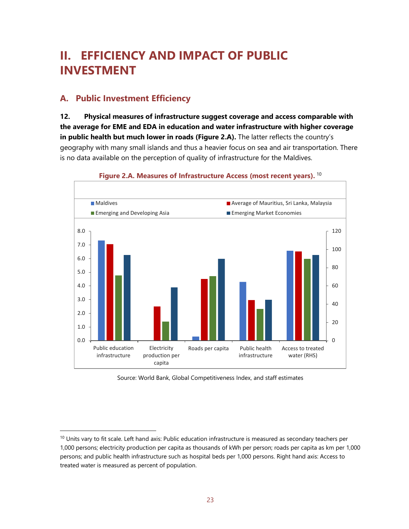## **II. EFFICIENCY AND IMPACT OF PUBLIC INVESTMENT**

### **A. Public Investment Efficiency**

**12. Physical measures of infrastructure suggest coverage and access comparable with the average for EME and EDA in education and water infrastructure with higher coverage in public health but much lower in roads (Figure 2.A).** The latter reflects the country's geography with many small islands and thus a heavier focus on sea and air transportation. There is no data available on the perception of quality of infrastructure for the Maldives.



#### **Figure 2.A. Measures of Infrastructure Access (most recent years).** [10](#page-23-0)

Source: World Bank, Global Competitiveness Index, and staff estimates

<span id="page-23-0"></span> $10$  Units vary to fit scale. Left hand axis: Public education infrastructure is measured as secondary teachers per 1,000 persons; electricity production per capita as thousands of kWh per person; roads per capita as km per 1,000 persons; and public health infrastructure such as hospital beds per 1,000 persons. Right hand axis: Access to treated water is measured as percent of population.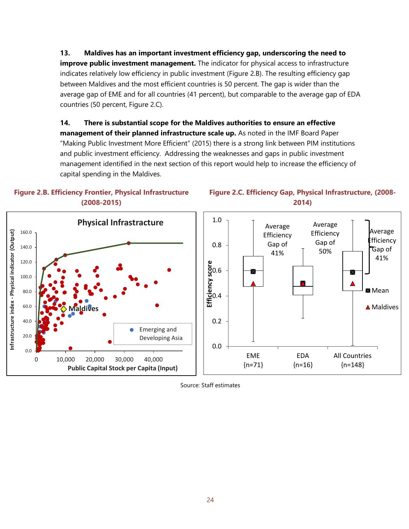**13. Maldives has an important investment efficiency gap, underscoring the need to improve public investment management.** The indicator for physical access to infrastructure indicates relatively low efficiency in public investment (Figure 2.B). The resulting efficiency gap between Maldives and the most efficient countries is 50 percent. The gap is wider than the average gap of EME and for all countries (41 percent), but comparable to the average gap of EDA countries (50 percent, Figure 2.C).

**14. There is substantial scope for the Maldives authorities to ensure an effective management of their planned infrastructure scale up.** As noted in the IMF Board Paper "Making Public Investment More Efficient" (2015) there is a strong link between PIM institutions and public investment efficiency. Addressing the weaknesses and gaps in public investment management identified in the next section of this report would help to increase the efficiency of capital spending in the Maldives.



**Physical Infrastracture** 160.0 Infrastructure index - Physical indicator (Output) **Infrastructure index - Physical indicator (Output)** 140.0 120.0 100.0 80.0 60.0 **Maldives** 40.0 Emerging and 20.0 Developing Asia 0.0 0 10,000 20,000 30,000 40,000 **Public Capital Stock per Capita (Input)**

#### **Figure 2.C. Efficiency Gap, Physical Infrastructure, (2008- 2014)**



Source: Staff estimates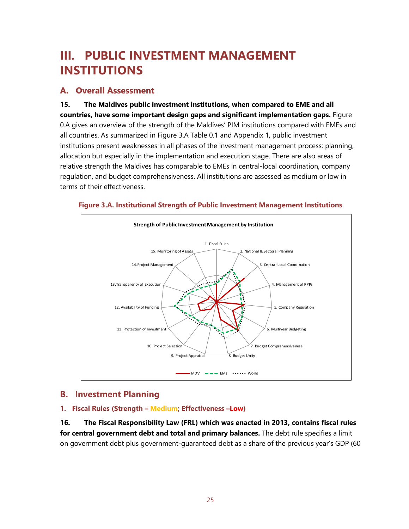## **III. PUBLIC INVESTMENT MANAGEMENT INSTITUTIONS**

### **A. Overall Assessment**

**15. The Maldives public investment institutions, when compared to EME and all countries, have some important design gaps and significant implementation gaps.** Figure 0.A gives an overview of the strength of the Maldives' PIM institutions compared with EMEs and all countries. As summarized in Figure 3.A Table 0.1 and Appendix 1, public investment institutions present weaknesses in all phases of the investment management process: planning, allocation but especially in the implementation and execution stage. There are also areas of relative strength the Maldives has comparable to EMEs in central-local coordination, company regulation, and budget comprehensiveness. All institutions are assessed as medium or low in terms of their effectiveness.





#### **B. Investment Planning**

#### **1. Fiscal Rules (Strength – Medium; Effectiveness –Low)**

**16. The Fiscal Responsibility Law (FRL) which was enacted in 2013, contains fiscal rules for central government debt and total and primary balances.** The debt rule specifies a limit on government debt plus government-guaranteed debt as a share of the previous year's GDP (60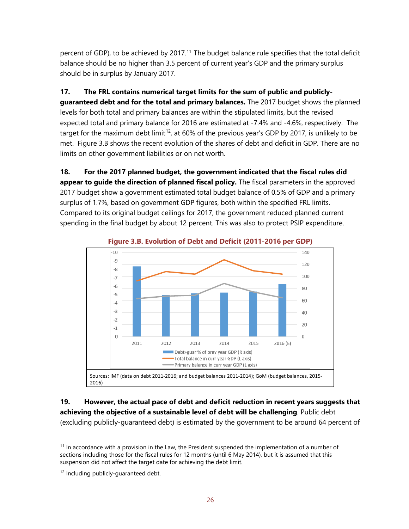percent of GDP), to be achieved by 2017. [11](#page-26-0) The budget balance rule specifies that the total deficit balance should be no higher than 3.5 percent of current year's GDP and the primary surplus should be in surplus by January 2017.

#### **17. The FRL contains numerical target limits for the sum of public and publicly-**

**guaranteed debt and for the total and primary balances.** The 2017 budget shows the planned levels for both total and primary balances are within the stipulated limits, but the revised expected total and primary balance for 2016 are estimated at -7.4% and -4.6%, respectively. The target for the maximum debt limit<sup>12</sup>, at 60% of the previous year's GDP by 2017, is unlikely to be met. Figure 3.B shows the recent evolution of the shares of debt and deficit in GDP. There are no limits on other government liabilities or on net worth.

**18. For the 2017 planned budget, the government indicated that the fiscal rules did appear to guide the direction of planned fiscal policy.** The fiscal parameters in the approved 2017 budget show a government estimated total budget balance of 0.5% of GDP and a primary surplus of 1.7%, based on government GDP figures, both within the specified FRL limits. Compared to its original budget ceilings for 2017, the government reduced planned current spending in the final budget by about 12 percent. This was also to protect PSIP expenditure.



**Figure 3.B. Evolution of Debt and Deficit (2011-2016 per GDP)**

**19. However, the actual pace of debt and deficit reduction in recent years suggests that achieving the objective of a sustainable level of debt will be challenging**. Public debt (excluding publicly-guaranteed debt) is estimated by the government to be around 64 percent of

<span id="page-26-0"></span><sup>&</sup>lt;sup>11</sup> In accordance with a provision in the Law, the President suspended the implementation of a number of sections including those for the fiscal rules for 12 months (until 6 May 2014), but it is assumed that this suspension did not affect the target date for achieving the debt limit.

<span id="page-26-1"></span><sup>&</sup>lt;sup>12</sup> Including publicly-guaranteed debt.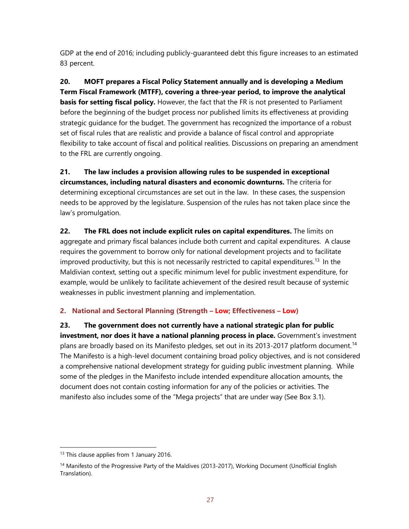GDP at the end of 2016; including publicly-guaranteed debt this figure increases to an estimated 83 percent.

**20. MOFT prepares a Fiscal Policy Statement annually and is developing a Medium Term Fiscal Framework (MTFF), covering a three-year period, to improve the analytical basis for setting fiscal policy.** However, the fact that the FR is not presented to Parliament before the beginning of the budget process nor published limits its effectiveness at providing strategic guidance for the budget. The government has recognized the importance of a robust set of fiscal rules that are realistic and provide a balance of fiscal control and appropriate flexibility to take account of fiscal and political realities. Discussions on preparing an amendment to the FRL are currently ongoing.

**21. The law includes a provision allowing rules to be suspended in exceptional circumstances, including natural disasters and economic downturns.** The criteria for determining exceptional circumstances are set out in the law. In these cases, the suspension needs to be approved by the legislature. Suspension of the rules has not taken place since the law's promulgation.

**22. The FRL does not include explicit rules on capital expenditures.** The limits on aggregate and primary fiscal balances include both current and capital expenditures. A clause requires the government to borrow only for national development projects and to facilitate improved productivity, but this is not necessarily restricted to capital expenditures.<sup>[13](#page-27-0)</sup> In the Maldivian context, setting out a specific minimum level for public investment expenditure, for example, would be unlikely to facilitate achievement of the desired result because of systemic weaknesses in public investment planning and implementation.

#### **2. National and Sectoral Planning (Strength – Low; Effectiveness – Low)**

**23. The government does not currently have a national strategic plan for public investment, nor does it have a national planning process in place.** Government's investment plans are broadly based on its Manifesto pledges, set out in its 2013-2017 platform document.<sup>[14](#page-27-1)</sup> The Manifesto is a high-level document containing broad policy objectives, and is not considered a comprehensive national development strategy for guiding public investment planning. While some of the pledges in the Manifesto include intended expenditure allocation amounts, the document does not contain costing information for any of the policies or activities. The manifesto also includes some of the "Mega projects" that are under way (See Box 3.1).

<span id="page-27-0"></span><sup>&</sup>lt;sup>13</sup> This clause applies from 1 January 2016.

<span id="page-27-1"></span><sup>&</sup>lt;sup>14</sup> Manifesto of the Progressive Party of the Maldives (2013-2017), Working Document (Unofficial English Translation).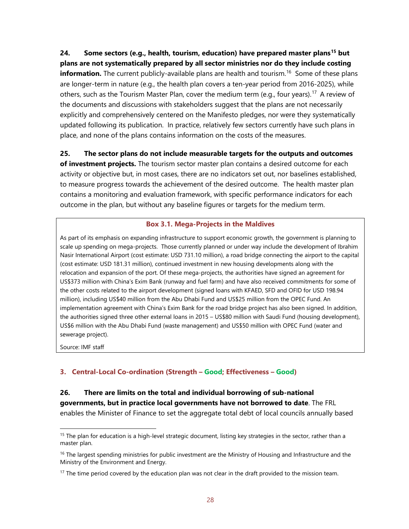**24. Some sectors (e.g., health, tourism, education) have prepared master plans[15](#page-28-0) but plans are not systematically prepared by all sector ministries nor do they include costing information.** The current publicly-available plans are health and tourism. [16](#page-28-1) Some of these plans are longer-term in nature (e.g., the health plan covers a ten-year period from 2016-2025), while others, such as the Tourism Master Plan, cover the medium term (e.g., four years).<sup>[17](#page-28-2)</sup> A review of the documents and discussions with stakeholders suggest that the plans are not necessarily explicitly and comprehensively centered on the Manifesto pledges, nor were they systematically updated following its publication. In practice, relatively few sectors currently have such plans in place, and none of the plans contains information on the costs of the measures.

**25. The sector plans do not include measurable targets for the outputs and outcomes** 

**of investment projects.** The tourism sector master plan contains a desired outcome for each activity or objective but, in most cases, there are no indicators set out, nor baselines established, to measure progress towards the achievement of the desired outcome. The health master plan contains a monitoring and evaluation framework, with specific performance indicators for each outcome in the plan, but without any baseline figures or targets for the medium term.

#### **Box 3.1. Mega-Projects in the Maldives**

As part of its emphasis on expanding infrastructure to support economic growth, the government is planning to scale up spending on mega-projects. Those currently planned or under way include the development of Ibrahim Nasir International Airport (cost estimate: USD 731.10 million), a road bridge connecting the airport to the capital (cost estimate: USD 181.31 million), continued investment in new housing developments along with the relocation and expansion of the port. Of these mega-projects, the authorities have signed an agreement for US\$373 million with China's Exim Bank (runway and fuel farm) and have also received commitments for some of the other costs related to the airport development (signed loans with KFAED, SFD and OFID for USD 198.94 million), including US\$40 million from the Abu Dhabi Fund and US\$25 million from the OPEC Fund. An implementation agreement with China's Exim Bank for the road bridge project has also been signed. In addition, the authorities signed three other external loans in 2015 – US\$80 million with Saudi Fund (housing development), US\$6 million with the Abu Dhabi Fund (waste management) and US\$50 million with OPEC Fund (water and sewerage project).

Source: IMF staff

#### **3. Central-Local Co-ordination (Strength – Good; Effectiveness – Good)**

#### **26. There are limits on the total and individual borrowing of sub-national governments, but in practice local governments have not borrowed to date**. The FRL enables the Minister of Finance to set the aggregate total debt of local councils annually based

<span id="page-28-0"></span> $15$  The plan for education is a high-level strategic document, listing key strategies in the sector, rather than a master plan.

<span id="page-28-1"></span><sup>&</sup>lt;sup>16</sup> The largest spending ministries for public investment are the Ministry of Housing and Infrastructure and the Ministry of the Environment and Energy.

<span id="page-28-2"></span> $17$  The time period covered by the education plan was not clear in the draft provided to the mission team.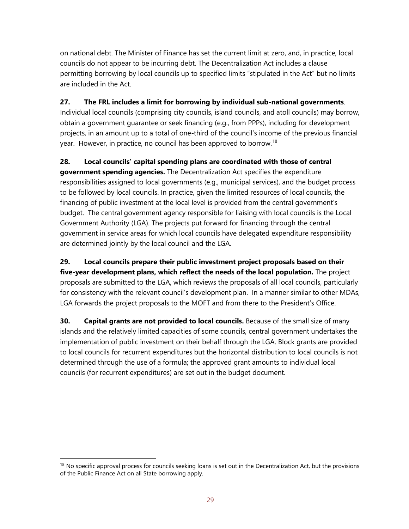on national debt. The Minister of Finance has set the current limit at zero, and, in practice, local councils do not appear to be incurring debt. The Decentralization Act includes a clause permitting borrowing by local councils up to specified limits "stipulated in the Act" but no limits are included in the Act.

#### **27. The FRL includes a limit for borrowing by individual sub-national governments**.

Individual local councils (comprising city councils, island councils, and atoll councils) may borrow, obtain a government guarantee or seek financing (e.g., from PPPs), including for development projects, in an amount up to a total of one-third of the council's income of the previous financial year. However, in practice, no council has been approved to borrow.<sup>[18](#page-29-0)</sup>

#### **28. Local councils' capital spending plans are coordinated with those of central**

**government spending agencies.** The Decentralization Act specifies the expenditure responsibilities assigned to local governments (e.g., municipal services), and the budget process to be followed by local councils. In practice, given the limited resources of local councils, the financing of public investment at the local level is provided from the central government's budget. The central government agency responsible for liaising with local councils is the Local Government Authority (LGA). The projects put forward for financing through the central government in service areas for which local councils have delegated expenditure responsibility are determined jointly by the local council and the LGA.

**29. Local councils prepare their public investment project proposals based on their five-year development plans, which reflect the needs of the local population.** The project proposals are submitted to the LGA, which reviews the proposals of all local councils, particularly for consistency with the relevant council's development plan. In a manner similar to other MDAs, LGA forwards the project proposals to the MOFT and from there to the President's Office.

**30.** Capital grants are not provided to local councils. Because of the small size of many islands and the relatively limited capacities of some councils, central government undertakes the implementation of public investment on their behalf through the LGA. Block grants are provided to local councils for recurrent expenditures but the horizontal distribution to local councils is not determined through the use of a formula; the approved grant amounts to individual local councils (for recurrent expenditures) are set out in the budget document.

<span id="page-29-0"></span> $18$  No specific approval process for councils seeking loans is set out in the Decentralization Act, but the provisions of the Public Finance Act on all State borrowing apply.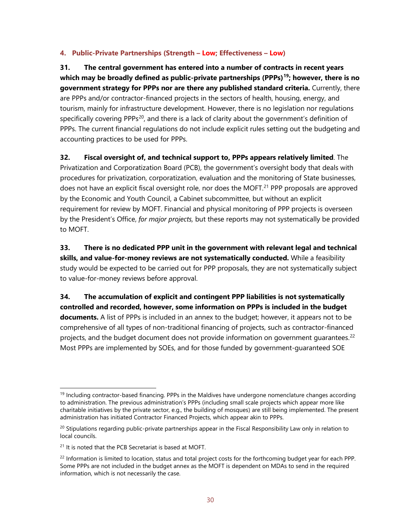#### **4. Public-Private Partnerships (Strength – Low; Effectiveness – Low)**

**31. The central government has entered into a number of contracts in recent years which may be broadly defined as public-private partnerships (PPPs)[19](#page-30-0); however, there is no government strategy for PPPs nor are there any published standard criteria.** Currently, there are PPPs and/or contractor-financed projects in the sectors of health, housing, energy, and tourism, mainly for infrastructure development. However, there is no legislation nor regulations specifically covering PPPs<sup>[20](#page-30-1)</sup>, and there is a lack of clarity about the government's definition of PPPs. The current financial regulations do not include explicit rules setting out the budgeting and accounting practices to be used for PPPs.

**32. Fiscal oversight of, and technical support to, PPPs appears relatively limited**. The Privatization and Corporatization Board (PCB), the government's oversight body that deals with procedures for privatization, corporatization, evaluation and the monitoring of State businesses, does not have an explicit fiscal oversight role, nor does the MOFT.<sup>[21](#page-30-2)</sup> PPP proposals are approved by the Economic and Youth Council, a Cabinet subcommittee, but without an explicit requirement for review by MOFT. Financial and physical monitoring of PPP projects is overseen by the President's Office, *for major projects,* but these reports may not systematically be provided to MOFT.

**33. There is no dedicated PPP unit in the government with relevant legal and technical skills, and value-for-money reviews are not systematically conducted.** While a feasibility study would be expected to be carried out for PPP proposals, they are not systematically subject to value-for-money reviews before approval.

**34. The accumulation of explicit and contingent PPP liabilities is not systematically controlled and recorded, however, some information on PPPs is included in the budget documents.** A list of PPPs is included in an annex to the budget; however, it appears not to be comprehensive of all types of non-traditional financing of projects, such as contractor-financed projects, and the budget document does not provide information on government guarantees.<sup>[22](#page-30-3)</sup> Most PPPs are implemented by SOEs, and for those funded by government-guaranteed SOE

<span id="page-30-0"></span> $<sup>19</sup>$  Including contractor-based financing. PPPs in the Maldives have undergone nomenclature changes according</sup> to administration. The previous administration's PPPs (including small scale projects which appear more like charitable initiatives by the private sector, e.g., the building of mosques) are still being implemented. The present administration has initiated Contractor Financed Projects, which appear akin to PPPs.

<span id="page-30-1"></span> $20$  Stipulations regarding public-private partnerships appear in the Fiscal Responsibility Law only in relation to local councils.

<span id="page-30-2"></span><sup>&</sup>lt;sup>21</sup> It is noted that the PCB Secretariat is based at MOFT.

<span id="page-30-3"></span> $^{22}$  Information is limited to location, status and total project costs for the forthcoming budget year for each PPP. Some PPPs are not included in the budget annex as the MOFT is dependent on MDAs to send in the required information, which is not necessarily the case.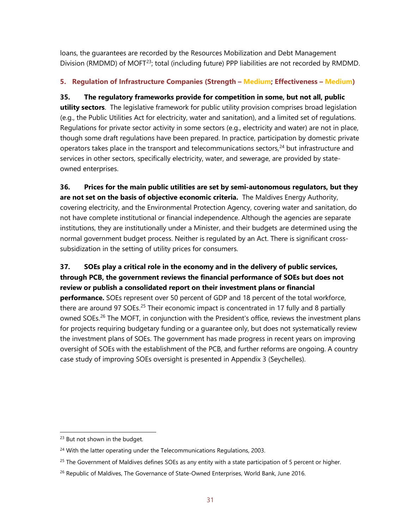loans, the guarantees are recorded by the Resources Mobilization and Debt Management Division (RMDMD) of MOFT<sup>23</sup>; total (including future) PPP liabilities are not recorded by RMDMD.

#### **5. Regulation of Infrastructure Companies (Strength – Medium; Effectiveness – Medium)**

**35. The regulatory frameworks provide for competition in some, but not all, public utility sectors**. The legislative framework for public utility provision comprises broad legislation (e.g., the Public Utilities Act for electricity, water and sanitation), and a limited set of regulations. Regulations for private sector activity in some sectors (e.g., electricity and water) are not in place, though some draft regulations have been prepared. In practice, participation by domestic private operators takes place in the transport and telecommunications sectors,<sup>[24](#page-31-1)</sup> but infrastructure and services in other sectors, specifically electricity, water, and sewerage, are provided by stateowned enterprises.

**36. Prices for the main public utilities are set by semi-autonomous regulators, but they are not set on the basis of objective economic criteria.** The Maldives Energy Authority, covering electricity, and the Environmental Protection Agency, covering water and sanitation, do not have complete institutional or financial independence. Although the agencies are separate institutions, they are institutionally under a Minister, and their budgets are determined using the normal government budget process. Neither is regulated by an Act. There is significant crosssubsidization in the setting of utility prices for consumers.

#### **37. SOEs play a critical role in the economy and in the delivery of public services, through PCB, the government reviews the financial performance of SOEs but does not review or publish a consolidated report on their investment plans or financial**

**performance.** SOEs represent over 50 percent of GDP and 18 percent of the total workforce, there are around 97 SOEs.<sup>[25](#page-31-2)</sup> Their economic impact is concentrated in 17 fully and 8 partially owned SOEs.<sup>[26](#page-31-3)</sup> The MOFT, in conjunction with the President's office, reviews the investment plans for projects requiring budgetary funding or a guarantee only, but does not systematically review the investment plans of SOEs. The government has made progress in recent years on improving oversight of SOEs with the establishment of the PCB, and further reforms are ongoing. A country case study of improving SOEs oversight is presented in Appendix 3 (Seychelles).

<span id="page-31-0"></span><sup>&</sup>lt;sup>23</sup> But not shown in the budget.

<span id="page-31-1"></span><sup>&</sup>lt;sup>24</sup> With the latter operating under the Telecommunications Regulations, 2003.

<span id="page-31-2"></span> $25$  The Government of Maldives defines SOEs as any entity with a state participation of 5 percent or higher.

<span id="page-31-3"></span><sup>&</sup>lt;sup>26</sup> Republic of Maldives, The Governance of State-Owned Enterprises, World Bank, June 2016.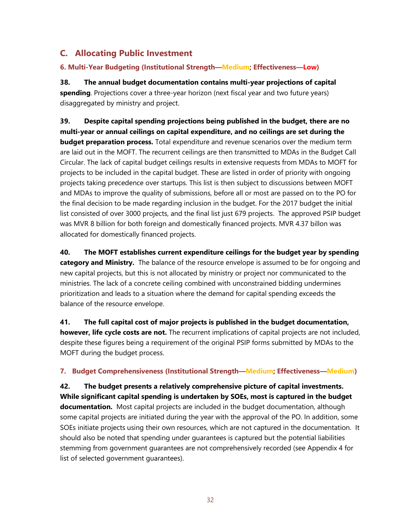## **C. Allocating Public Investment**

#### **6. Multi-Year Budgeting (Institutional Strength—Medium; Effectiveness—Low)**

**38. The annual budget documentation contains multi-year projections of capital spending**. Projections cover a three-year horizon (next fiscal year and two future years) disaggregated by ministry and project.

**39. Despite capital spending projections being published in the budget, there are no multi-year or annual ceilings on capital expenditure, and no ceilings are set during the budget preparation process.** Total expenditure and revenue scenarios over the medium term are laid out in the MOFT. The recurrent ceilings are then transmitted to MDAs in the Budget Call Circular. The lack of capital budget ceilings results in extensive requests from MDAs to MOFT for projects to be included in the capital budget. These are listed in order of priority with ongoing projects taking precedence over startups. This list is then subject to discussions between MOFT and MDAs to improve the quality of submissions, before all or most are passed on to the PO for the final decision to be made regarding inclusion in the budget. For the 2017 budget the initial list consisted of over 3000 projects, and the final list just 679 projects. The approved PSIP budget was MVR 8 billion for both foreign and domestically financed projects. MVR 4.37 billon was allocated for domestically financed projects.

**40. The MOFT establishes current expenditure ceilings for the budget year by spending category and Ministry.** The balance of the resource envelope is assumed to be for ongoing and new capital projects, but this is not allocated by ministry or project nor communicated to the ministries. The lack of a concrete ceiling combined with unconstrained bidding undermines prioritization and leads to a situation where the demand for capital spending exceeds the balance of the resource envelope.

**41. The full capital cost of major projects is published in the budget documentation, however, life cycle costs are not.** The recurrent implications of capital projects are not included, despite these figures being a requirement of the original PSIP forms submitted by MDAs to the MOFT during the budget process.

#### **7. Budget Comprehensiveness (Institutional Strength—Medium; Effectiveness—Medium)**

**42. The budget presents a relatively comprehensive picture of capital investments. While significant capital spending is undertaken by SOEs, most is captured in the budget documentation.** Most capital projects are included in the budget documentation, although some capital projects are initiated during the year with the approval of the PO. In addition, some SOEs initiate projects using their own resources, which are not captured in the documentation. It should also be noted that spending under guarantees is captured but the potential liabilities stemming from government guarantees are not comprehensively recorded (see Appendix 4 for list of selected government guarantees).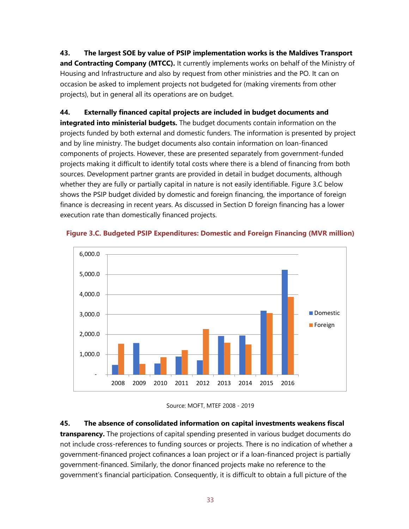**43. The largest SOE by value of PSIP implementation works is the Maldives Transport and Contracting Company (MTCC).** It currently implements works on behalf of the Ministry of Housing and Infrastructure and also by request from other ministries and the PO. It can on occasion be asked to implement projects not budgeted for (making virements from other projects), but in general all its operations are on budget.

#### **44. Externally financed capital projects are included in budget documents and**

**integrated into ministerial budgets.** The budget documents contain information on the projects funded by both external and domestic funders. The information is presented by project and by line ministry. The budget documents also contain information on loan-financed components of projects. However, these are presented separately from government-funded projects making it difficult to identify total costs where there is a blend of financing from both sources. Development partner grants are provided in detail in budget documents, although whether they are fully or partially capital in nature is not easily identifiable. Figure 3.C below shows the PSIP budget divided by domestic and foreign financing, the importance of foreign finance is decreasing in recent years. As discussed in Section D foreign financing has a lower execution rate than domestically financed projects.



#### **Figure 3.C. Budgeted PSIP Expenditures: Domestic and Foreign Financing (MVR million)**

**45. The absence of consolidated information on capital investments weakens fiscal**

**transparency.** The projections of capital spending presented in various budget documents do not include cross-references to funding sources or projects. There is no indication of whether a government-financed project cofinances a loan project or if a loan-financed project is partially government-financed. Similarly, the donor financed projects make no reference to the government's financial participation. Consequently, it is difficult to obtain a full picture of the

Source: MOFT, MTEF 2008 - 2019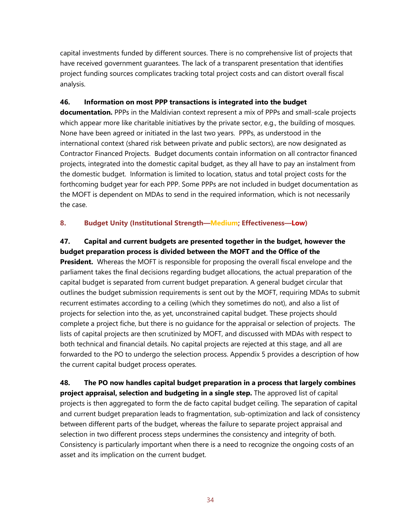capital investments funded by different sources. There is no comprehensive list of projects that have received government guarantees. The lack of a transparent presentation that identifies project funding sources complicates tracking total project costs and can distort overall fiscal analysis.

#### **46. Information on most PPP transactions is integrated into the budget**

**documentation.** PPPs in the Maldivian context represent a mix of PPPs and small-scale projects which appear more like charitable initiatives by the private sector, e.g., the building of mosques. None have been agreed or initiated in the last two years. PPPs, as understood in the international context (shared risk between private and public sectors), are now designated as Contractor Financed Projects. Budget documents contain information on all contractor financed projects, integrated into the domestic capital budget, as they all have to pay an instalment from the domestic budget. Information is limited to location, status and total project costs for the forthcoming budget year for each PPP. Some PPPs are not included in budget documentation as the MOFT is dependent on MDAs to send in the required information, which is not necessarily the case.

#### **8. Budget Unity (Institutional Strength—Medium; Effectiveness—Low)**

#### **47. Capital and current budgets are presented together in the budget, however the budget preparation process is divided between the MOFT and the Office of the**

**President.** Whereas the MOFT is responsible for proposing the overall fiscal envelope and the parliament takes the final decisions regarding budget allocations, the actual preparation of the capital budget is separated from current budget preparation. A general budget circular that outlines the budget submission requirements is sent out by the MOFT, requiring MDAs to submit recurrent estimates according to a ceiling (which they sometimes do not), and also a list of projects for selection into the, as yet, unconstrained capital budget. These projects should complete a project fiche, but there is no guidance for the appraisal or selection of projects. The lists of capital projects are then scrutinized by MOFT, and discussed with MDAs with respect to both technical and financial details. No capital projects are rejected at this stage, and all are forwarded to the PO to undergo the selection process. Appendix 5 provides a description of how the current capital budget process operates.

**48. The PO now handles capital budget preparation in a process that largely combines project appraisal, selection and budgeting in a single step.** The approved list of capital projects is then aggregated to form the de facto capital budget ceiling. The separation of capital and current budget preparation leads to fragmentation, sub-optimization and lack of consistency between different parts of the budget, whereas the failure to separate project appraisal and selection in two different process steps undermines the consistency and integrity of both. Consistency is particularly important when there is a need to recognize the ongoing costs of an asset and its implication on the current budget.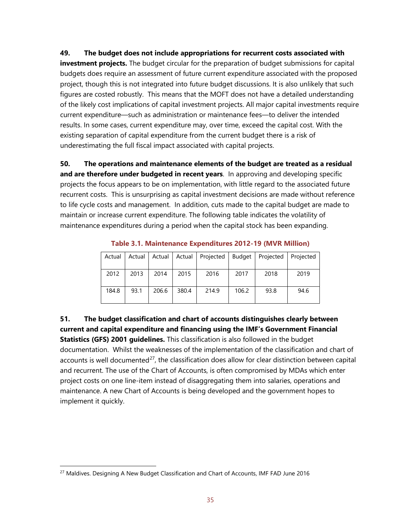#### **49. The budget does not include appropriations for recurrent costs associated with**

**investment projects.** The budget circular for the preparation of budget submissions for capital budgets does require an assessment of future current expenditure associated with the proposed project, though this is not integrated into future budget discussions. It is also unlikely that such figures are costed robustly. This means that the MOFT does not have a detailed understanding of the likely cost implications of capital investment projects. All major capital investments require current expenditure—such as administration or maintenance fees—to deliver the intended results. In some cases, current expenditure may, over time, exceed the capital cost. With the existing separation of capital expenditure from the current budget there is a risk of underestimating the full fiscal impact associated with capital projects.

**50. The operations and maintenance elements of the budget are treated as a residual and are therefore under budgeted in recent years**. In approving and developing specific projects the focus appears to be on implementation, with little regard to the associated future recurrent costs. This is unsurprising as capital investment decisions are made without reference to life cycle costs and management. In addition, cuts made to the capital budget are made to maintain or increase current expenditure. The following table indicates the volatility of maintenance expenditures during a period when the capital stock has been expanding.

| Actual | Actual | Actual | Actual | Projected | Budget | Projected | Projected |
|--------|--------|--------|--------|-----------|--------|-----------|-----------|
| 2012   | 2013   | 2014   | 2015   | 2016      | 2017   | 2018      | 2019      |
| 184.8  | 93.1   | 206.6  | 380.4  | 214.9     | 106.2  | 93.8      | 94.6      |

**Table 3.1. Maintenance Expenditures 2012-19 (MVR Million)**

**51. The budget classification and chart of accounts distinguishes clearly between current and capital expenditure and financing using the IMF's Government Financial Statistics (GFS) 2001 guidelines.** This classification is also followed in the budget documentation. Whilst the weaknesses of the implementation of the classification and chart of accounts is well documented $^{27}$ , the classification does allow for clear distinction between capital and recurrent. The use of the Chart of Accounts, is often compromised by MDAs which enter project costs on one line-item instead of disaggregating them into salaries, operations and maintenance. A new Chart of Accounts is being developed and the government hopes to implement it quickly.

<span id="page-35-0"></span><sup>&</sup>lt;sup>27</sup> Maldives. Designing A New Budget Classification and Chart of Accounts, IMF FAD June 2016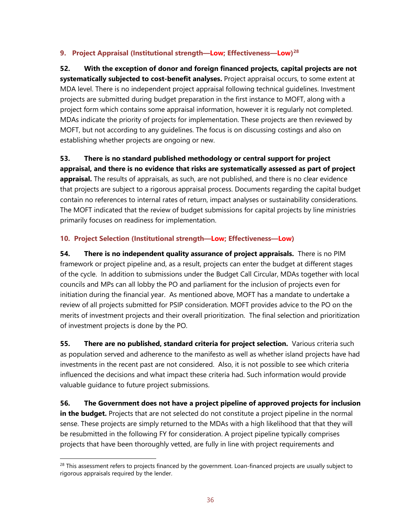#### **9. Project Appraisal (Institutional strength—Low; Effectiveness—Low)[28](#page-36-0)**

**52. With the exception of donor and foreign financed projects, capital projects are not systematically subjected to cost-benefit analyses.** Project appraisal occurs, to some extent at MDA level. There is no independent project appraisal following technical guidelines. Investment projects are submitted during budget preparation in the first instance to MOFT, along with a project form which contains some appraisal information, however it is regularly not completed. MDAs indicate the priority of projects for implementation. These projects are then reviewed by MOFT, but not according to any guidelines. The focus is on discussing costings and also on establishing whether projects are ongoing or new.

**53. There is no standard published methodology or central support for project appraisal, and there is no evidence that risks are systematically assessed as part of project appraisal.** The results of appraisals, as such, are not published, and there is no clear evidence that projects are subject to a rigorous appraisal process. Documents regarding the capital budget contain no references to internal rates of return, impact analyses or sustainability considerations. The MOFT indicated that the review of budget submissions for capital projects by line ministries primarily focuses on readiness for implementation.

#### **10. Project Selection (Institutional strength—Low; Effectiveness—Low)**

**54. There is no independent quality assurance of project appraisals.** There is no PIM framework or project pipeline and, as a result, projects can enter the budget at different stages of the cycle. In addition to submissions under the Budget Call Circular, MDAs together with local councils and MPs can all lobby the PO and parliament for the inclusion of projects even for initiation during the financial year. As mentioned above, MOFT has a mandate to undertake a review of all projects submitted for PSIP consideration. MOFT provides advice to the PO on the merits of investment projects and their overall prioritization. The final selection and prioritization of investment projects is done by the PO.

**55. There are no published, standard criteria for project selection.** Various criteria such as population served and adherence to the manifesto as well as whether island projects have had investments in the recent past are not considered. Also, it is not possible to see which criteria influenced the decisions and what impact these criteria had. Such information would provide valuable guidance to future project submissions.

**56. The Government does not have a project pipeline of approved projects for inclusion in the budget.** Projects that are not selected do not constitute a project pipeline in the normal sense. These projects are simply returned to the MDAs with a high likelihood that that they will be resubmitted in the following FY for consideration. A project pipeline typically comprises projects that have been thoroughly vetted, are fully in line with project requirements and

<span id="page-36-0"></span><sup>&</sup>lt;sup>28</sup> This assessment refers to projects financed by the government. Loan-financed projects are usually subject to rigorous appraisals required by the lender.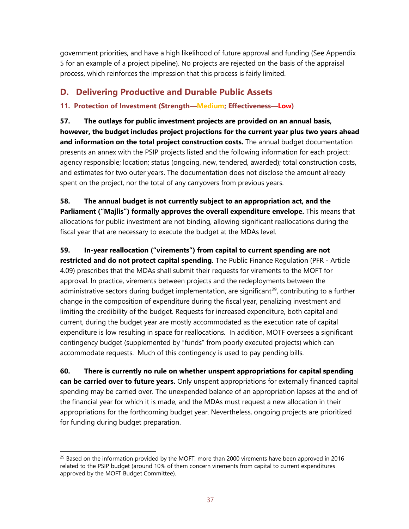government priorities, and have a high likelihood of future approval and funding (See Appendix 5 for an example of a project pipeline). No projects are rejected on the basis of the appraisal process, which reinforces the impression that this process is fairly limited.

## **D. Delivering Productive and Durable Public Assets**

#### **11. Protection of Investment (Strength—Medium; Effectiveness—Low)**

**57. The outlays for public investment projects are provided on an annual basis, however, the budget includes project projections for the current year plus two years ahead and information on the total project construction costs.** The annual budget documentation presents an annex with the PSIP projects listed and the following information for each project: agency responsible; location; status (ongoing, new, tendered, awarded); total construction costs, and estimates for two outer years. The documentation does not disclose the amount already spent on the project, nor the total of any carryovers from previous years.

**58. The annual budget is not currently subject to an appropriation act, and the Parliament ("Majlis") formally approves the overall expenditure envelope.** This means that allocations for public investment are not binding, allowing significant reallocations during the fiscal year that are necessary to execute the budget at the MDAs level.

#### **59. In-year reallocation ("virements") from capital to current spending are not**

**restricted and do not protect capital spending.** The Public Finance Regulation (PFR - Article 4.09) prescribes that the MDAs shall submit their requests for virements to the MOFT for approval. In practice, virements between projects and the redeployments between the administrative sectors during budget implementation, are significant<sup>[29](#page-37-0)</sup>, contributing to a further change in the composition of expenditure during the fiscal year, penalizing investment and limiting the credibility of the budget. Requests for increased expenditure, both capital and current, during the budget year are mostly accommodated as the execution rate of capital expenditure is low resulting in space for reallocations. In addition, MOTF oversees a significant contingency budget (supplemented by "funds" from poorly executed projects) which can accommodate requests. Much of this contingency is used to pay pending bills.

**60. There is currently no rule on whether unspent appropriations for capital spending can be carried over to future years.** Only unspent appropriations for externally financed capital spending may be carried over. The unexpended balance of an appropriation lapses at the end of the financial year for which it is made, and the MDAs must request a new allocation in their appropriations for the forthcoming budget year. Nevertheless, ongoing projects are prioritized for funding during budget preparation.

<span id="page-37-0"></span> $^{29}$  Based on the information provided by the MOFT, more than 2000 virements have been approved in 2016 related to the PSIP budget (around 10% of them concern virements from capital to current expenditures approved by the MOFT Budget Committee).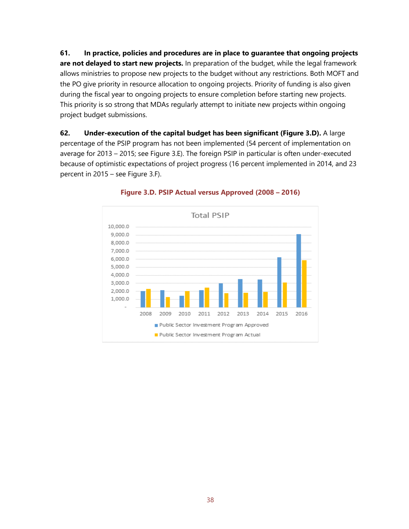**61. In practice, policies and procedures are in place to guarantee that ongoing projects are not delayed to start new projects.** In preparation of the budget, while the legal framework allows ministries to propose new projects to the budget without any restrictions. Both MOFT and the PO give priority in resource allocation to ongoing projects. Priority of funding is also given during the fiscal year to ongoing projects to ensure completion before starting new projects. This priority is so strong that MDAs regularly attempt to initiate new projects within ongoing project budget submissions.

**62. Under-execution of the capital budget has been significant (Figure 3.D).** A large percentage of the PSIP program has not been implemented (54 percent of implementation on average for 2013 – 2015; see Figure 3.E). The foreign PSIP in particular is often under-executed because of optimistic expectations of project progress (16 percent implemented in 2014, and 23 percent in 2015 – see Figure 3.F).



#### **Figure 3.D. PSIP Actual versus Approved (2008 – 2016)**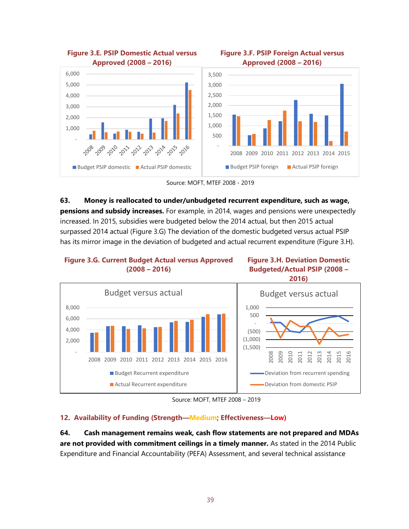

Source: MOFT, MTEF 2008 - 2019

**63. Money is reallocated to under/unbudgeted recurrent expenditure, such as wage, pensions and subsidy increases.** For example, in 2014, wages and pensions were unexpectedly increased. In 2015, subsidies were budgeted below the 2014 actual, but then 2015 actual surpassed 2014 actual (Figure 3.G) The deviation of the domestic budgeted versus actual PSIP has its mirror image in the deviation of budgeted and actual recurrent expenditure (Figure 3.H).





Source: MOFT, MTEF 2008 – 2019

#### **12. Availability of Funding (Strength—Medium; Effectiveness—Low)**

**64. Cash management remains weak, cash flow statements are not prepared and MDAs are not provided with commitment ceilings in a timely manner.** As stated in the 2014 Public Expenditure and Financial Accountability (PEFA) Assessment, and several technical assistance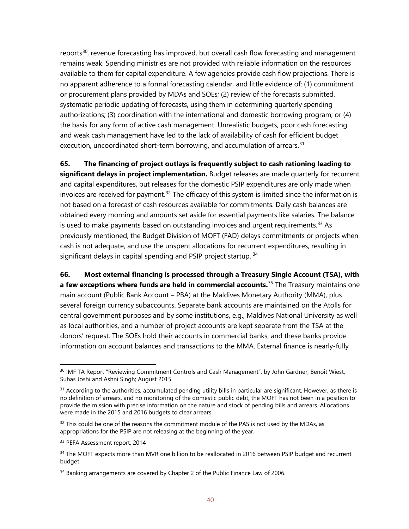reports<sup>[30](#page-40-0)</sup>, revenue forecasting has improved, but overall cash flow forecasting and management remains weak. Spending ministries are not provided with reliable information on the resources available to them for capital expenditure. A few agencies provide cash flow projections. There is no apparent adherence to a formal forecasting calendar, and little evidence of: (1) commitment or procurement plans provided by MDAs and SOEs; (2) review of the forecasts submitted, systematic periodic updating of forecasts, using them in determining quarterly spending authorizations; (3) coordination with the international and domestic borrowing program; or (4) the basis for any form of active cash management. Unrealistic budgets, poor cash forecasting and weak cash management have led to the lack of availability of cash for efficient budget execution, uncoordinated short-term borrowing, and accumulation of arrears.<sup>[31](#page-40-1)</sup>

**65. The financing of project outlays is frequently subject to cash rationing leading to significant delays in project implementation.** Budget releases are made quarterly for recurrent and capital expenditures, but releases for the domestic PSIP expenditures are only made when invoices are received for payment.<sup>[32](#page-40-2)</sup> The efficacy of this system is limited since the information is not based on a forecast of cash resources available for commitments. Daily cash balances are obtained every morning and amounts set aside for essential payments like salaries. The balance is used to make payments based on outstanding invoices and urgent requirements. [33](#page-40-3) As previously mentioned, the Budget Division of MOFT (FAD) delays commitments or projects when cash is not adequate, and use the unspent allocations for recurrent expenditures, resulting in significant delays in capital spending and PSIP project startup.<sup>[34](#page-40-4)</sup>

**66. Most external financing is processed through a Treasury Single Account (TSA), with a few exceptions where funds are held in commercial accounts.**[35](#page-40-5) The Treasury maintains one main account (Public Bank Account – PBA) at the Maldives Monetary Authority (MMA), plus several foreign currency subaccounts. Separate bank accounts are maintained on the Atolls for central government purposes and by some institutions, e.g., Maldives National University as well as local authorities, and a number of project accounts are kept separate from the TSA at the donors' request. The SOEs hold their accounts in commercial banks, and these banks provide information on account balances and transactions to the MMA. External finance is nearly-fully

<span id="page-40-0"></span><sup>&</sup>lt;sup>30</sup> IMF TA Report "Reviewing Commitment Controls and Cash Management", by John Gardner, Benoît Wiest, Suhas Joshi and Ashni Singh; August 2015.

<span id="page-40-1"></span> $31$  According to the authorities, accumulated pending utility bills in particular are significant. However, as there is no definition of arrears, and no monitoring of the domestic public debt, the MOFT has not been in a position to provide the mission with precise information on the nature and stock of pending bills and arrears. Allocations were made in the 2015 and 2016 budgets to clear arrears.

<span id="page-40-2"></span> $32$  This could be one of the reasons the commitment module of the PAS is not used by the MDAs, as appropriations for the PSIP are not releasing at the beginning of the year.

<span id="page-40-3"></span><sup>33</sup> PEFA Assessment report, 2014

<span id="page-40-4"></span><sup>&</sup>lt;sup>34</sup> The MOFT expects more than MVR one billion to be reallocated in 2016 between PSIP budget and recurrent budget.

<span id="page-40-5"></span><sup>&</sup>lt;sup>35</sup> Banking arrangements are covered by Chapter 2 of the Public Finance Law of 2006.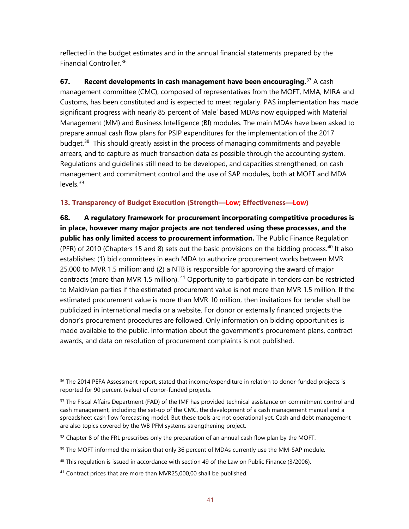reflected in the budget estimates and in the annual financial statements prepared by the Financial Controller.[36](#page-41-0)

**67. Recent developments in cash management have been encouraging.**[37](#page-41-1) A cash management committee (CMC), composed of representatives from the MOFT, MMA, MIRA and Customs, has been constituted and is expected to meet regularly. PAS implementation has made significant progress with nearly 85 percent of Male' based MDAs now equipped with Material Management (MM) and Business Intelligence (BI) modules. The main MDAs have been asked to prepare annual cash flow plans for PSIP expenditures for the implementation of the 2017 budget.<sup>38</sup> This should greatly assist in the process of managing commitments and payable arrears, and to capture as much transaction data as possible through the accounting system. Regulations and guidelines still need to be developed, and capacities strengthened, on cash management and commitment control and the use of SAP modules, both at MOFT and MDA levels.[39](#page-41-3)

#### **13. Transparency of Budget Execution (Strength—Low; Effectiveness—Low)**

**68. A regulatory framework for procurement incorporating competitive procedures is in place, however many major projects are not tendered using these processes, and the public has only limited access to procurement information.** The Public Finance Regulation (PFR) of 2010 (Chapters 15 and 8) sets out the basic provisions on the bidding process.<sup>[40](#page-41-4)</sup> It also establishes: (1) bid committees in each MDA to authorize procurement works between MVR 25,000 to MVR 1.5 million; and (2) a NTB is responsible for approving the award of major contracts (more than MVR 1.5 million). <sup>[41](#page-41-5)</sup> Opportunity to participate in tenders can be restricted to Maldivian parties if the estimated procurement value is not more than MVR 1.5 million. If the estimated procurement value is more than MVR 10 million, then invitations for tender shall be publicized in international media or a website. For donor or externally financed projects the donor's procurement procedures are followed. Only information on bidding opportunities is made available to the public. Information about the government's procurement plans, contract awards, and data on resolution of procurement complaints is not published.

<span id="page-41-0"></span><sup>&</sup>lt;sup>36</sup> The 2014 PEFA Assessment report, stated that income/expenditure in relation to donor-funded projects is reported for 90 percent (value) of donor-funded projects.

<span id="page-41-1"></span><sup>&</sup>lt;sup>37</sup> The Fiscal Affairs Department (FAD) of the IMF has provided technical assistance on commitment control and cash management, including the set-up of the CMC, the development of a cash management manual and a spreadsheet cash flow forecasting model. But these tools are not operational yet. Cash and debt management are also topics covered by the WB PFM systems strengthening project.

<span id="page-41-2"></span><sup>&</sup>lt;sup>38</sup> Chapter 8 of the FRL prescribes only the preparation of an annual cash flow plan by the MOFT.

<span id="page-41-3"></span> $39$  The MOFT informed the mission that only 36 percent of MDAs currently use the MM-SAP module.

<span id="page-41-4"></span> $40$  This regulation is issued in accordance with section 49 of the Law on Public Finance (3/2006).

<span id="page-41-5"></span> $41$  Contract prices that are more than MVR25,000,00 shall be published.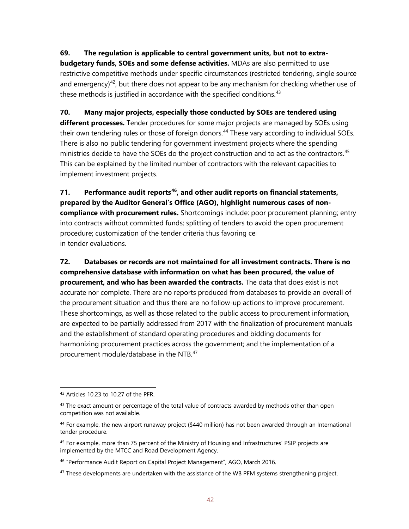#### **69. The regulation is applicable to central government units, but not to extra-**

**budgetary funds, SOEs and some defense activities.** MDAs are also permitted to use restrictive competitive methods under specific circumstances (restricted tendering, single source and emergency)<sup>42</sup>, but there does not appear to be any mechanism for checking whether use of these methods is justified in accordance with the specified conditions.<sup>[43](#page-42-1)</sup>

#### **70. Many major projects, especially those conducted by SOEs are tendered using**

**different processes.** Tender procedures for some major projects are managed by SOEs using their own tendering rules or those of foreign donors.<sup>[44](#page-42-2)</sup> These vary according to individual SOEs. There is also no public tendering for government investment projects where the spending ministries decide to have the SOEs do the project construction and to act as the contractors.<sup>[45](#page-42-3)</sup> This can be explained by the limited number of contractors with the relevant capacities to implement investment projects.

**71. Performance audit reports[46,](#page-42-4) and other audit reports on financial statements, prepared by the Auditor General's Office (AGO), highlight numerous cases of noncompliance with procurement rules.** Shortcomings include: poor procurement planning; entry into contracts without committed funds; splitting of tenders to avoid the open procurement procedure; customization of the tender criteria thus favoring certain operators; and weak in tender evaluations.

**72. Databases or records are not maintained for all investment contracts. There is no comprehensive database with information on what has been procured, the value of procurement, and who has been awarded the contracts.** The data that does exist is not accurate nor complete. There are no reports produced from databases to provide an overall of the procurement situation and thus there are no follow-up actions to improve procurement. These shortcomings, as well as those related to the public access to procurement information, are expected to be partially addressed from 2017 with the finalization of procurement manuals and the establishment of standard operating procedures and bidding documents for harmonizing procurement practices across the government; and the implementation of a procurement module/database in the NTB.[47](#page-42-5)

<span id="page-42-0"></span><sup>42</sup> Articles 10.23 to 10.27 of the PFR.

<span id="page-42-1"></span> $43$  The exact amount or percentage of the total value of contracts awarded by methods other than open competition was not available.

<span id="page-42-2"></span> $44$  For example, the new airport runaway project (\$440 million) has not been awarded through an International tender procedure.

<span id="page-42-3"></span><sup>&</sup>lt;sup>45</sup> For example, more than 75 percent of the Ministry of Housing and Infrastructures' PSIP projects are implemented by the MTCC and Road Development Agency.

<span id="page-42-4"></span><sup>&</sup>lt;sup>46</sup> "Performance Audit Report on Capital Project Management", AGO, March 2016.

<span id="page-42-5"></span> $47$  These developments are undertaken with the assistance of the WB PFM systems strengthening project.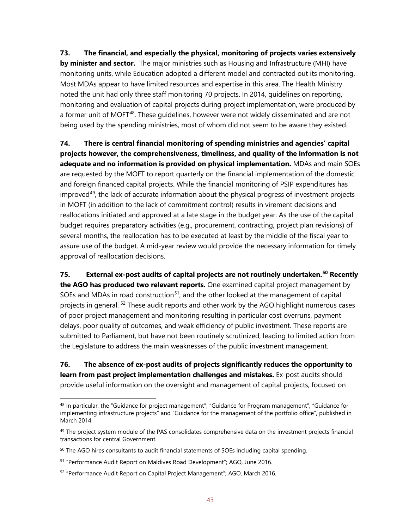**73. The financial, and especially the physical, monitoring of projects varies extensively by minister and sector.** The major ministries such as Housing and Infrastructure (MHI) have monitoring units, while Education adopted a different model and contracted out its monitoring. Most MDAs appear to have limited resources and expertise in this area. The Health Ministry noted the unit had only three staff monitoring 70 projects. In 2014, guidelines on reporting, monitoring and evaluation of capital projects during project implementation, were produced by a former unit of MOFT<sup>[48](#page-43-0)</sup>. These quidelines, however were not widely disseminated and are not being used by the spending ministries, most of whom did not seem to be aware they existed.

**74. There is central financial monitoring of spending ministries and agencies' capital projects however, the comprehensiveness, timeliness, and quality of the information is not adequate and no information is provided on physical implementation.** MDAs and main SOEs are requested by the MOFT to report quarterly on the financial implementation of the domestic and foreign financed capital projects. While the financial monitoring of PSIP expenditures has improved $49$ , the lack of accurate information about the physical progress of investment projects in MOFT (in addition to the lack of commitment control) results in virement decisions and reallocations initiated and approved at a late stage in the budget year. As the use of the capital budget requires preparatory activities (e.g., procurement, contracting, project plan revisions) of several months, the reallocation has to be executed at least by the middle of the fiscal year to assure use of the budget. A mid-year review would provide the necessary information for timely approval of reallocation decisions.

**75. External ex-post audits of capital projects are not routinely undertaken.[50](#page-43-2) Recently the AGO has produced two relevant reports.** One examined capital project management by SOEs and MDAs in road construction<sup>51</sup>, and the other looked at the management of capital projects in general.<sup>[52](#page-43-4)</sup> These audit reports and other work by the AGO highlight numerous cases of poor project management and monitoring resulting in particular cost overruns, payment delays, poor quality of outcomes, and weak efficiency of public investment. These reports are submitted to Parliament, but have not been routinely scrutinized, leading to limited action from the Legislature to address the main weaknesses of the public investment management.

**76. The absence of ex-post audits of projects significantly reduces the opportunity to learn from past project implementation challenges and mistakes.** Ex-post audits should provide useful information on the oversight and management of capital projects, focused on

<span id="page-43-0"></span><sup>&</sup>lt;sup>48</sup> In particular, the "Guidance for project management", "Guidance for Program management", "Guidance for implementing infrastructure projects" and "Guidance for the management of the portfolio office", published in March 2014.

<span id="page-43-1"></span><sup>&</sup>lt;sup>49</sup> The project system module of the PAS consolidates comprehensive data on the investment projects financial transactions for central Government.

<span id="page-43-2"></span> $50$  The AGO hires consultants to audit financial statements of SOEs including capital spending.

<span id="page-43-3"></span><sup>51</sup> "Performance Audit Report on Maldives Road Development"; AGO, June 2016.

<span id="page-43-4"></span><sup>52</sup> "Performance Audit Report on Capital Project Management"; AGO, March 2016.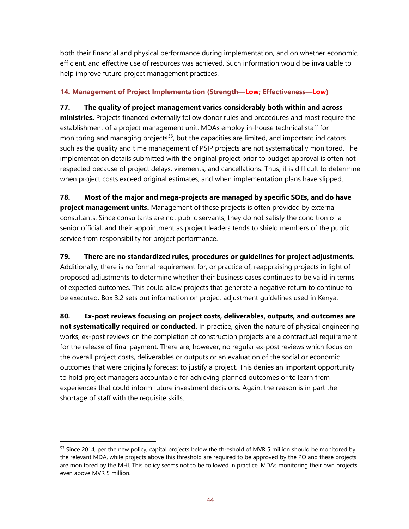both their financial and physical performance during implementation, and on whether economic, efficient, and effective use of resources was achieved. Such information would be invaluable to help improve future project management practices.

#### **14. Management of Project Implementation (Strength—Low; Effectiveness—Low)**

**77. The quality of project management varies considerably both within and across ministries.** Projects financed externally follow donor rules and procedures and most require the establishment of a project management unit. MDAs employ in-house technical staff for monitoring and managing projects<sup>[53](#page-44-0)</sup>, but the capacities are limited, and important indicators such as the quality and time management of PSIP projects are not systematically monitored. The implementation details submitted with the original project prior to budget approval is often not respected because of project delays, virements, and cancellations. Thus, it is difficult to determine when project costs exceed original estimates, and when implementation plans have slipped.

**78. Most of the major and mega-projects are managed by specific SOEs, and do have project management units.** Management of these projects is often provided by external consultants. Since consultants are not public servants, they do not satisfy the condition of a senior official; and their appointment as project leaders tends to shield members of the public service from responsibility for project performance.

#### **79. There are no standardized rules, procedures or guidelines for project adjustments.**

Additionally, there is no formal requirement for, or practice of, reappraising projects in light of proposed adjustments to determine whether their business cases continues to be valid in terms of expected outcomes. This could allow projects that generate a negative return to continue to be executed. Box 3.2 sets out information on project adjustment guidelines used in Kenya.

**80. Ex-post reviews focusing on project costs, deliverables, outputs, and outcomes are not systematically required or conducted.** In practice, given the nature of physical engineering works, ex-post reviews on the completion of construction projects are a contractual requirement for the release of final payment. There are, however, no regular ex-post reviews which focus on the overall project costs, deliverables or outputs or an evaluation of the social or economic outcomes that were originally forecast to justify a project. This denies an important opportunity to hold project managers accountable for achieving planned outcomes or to learn from experiences that could inform future investment decisions. Again, the reason is in part the shortage of staff with the requisite skills.

<span id="page-44-0"></span><sup>&</sup>lt;sup>53</sup> Since 2014, per the new policy, capital projects below the threshold of MVR 5 million should be monitored by the relevant MDA, while projects above this threshold are required to be approved by the PO and these projects are monitored by the MHI. This policy seems not to be followed in practice, MDAs monitoring their own projects even above MVR 5 million.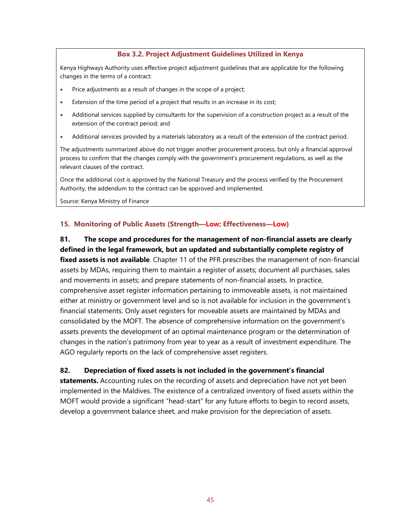#### **Box 3.2. Project Adjustment Guidelines Utilized in Kenya**

Kenya Highways Authority uses effective project adjustment guidelines that are applicable for the following changes in the terms of a contract:

- Price adjustments as a result of changes in the scope of a project;
- Extension of the time period of a project that results in an increase in its cost;
- Additional services supplied by consultants for the supervision of a construction project as a result of the extension of the contract period; and
- Additional services provided by a materials laboratory as a result of the extension of the contract period.

The adjustments summarized above do not trigger another procurement process, but only a financial approval process to confirm that the changes comply with the government's procurement regulations, as well as the relevant clauses of the contract.

Once the additional cost is approved by the National Treasury and the process verified by the Procurement Authority, the addendum to the contract can be approved and implemented.

Source: Kenya Ministry of Finance

#### **15. Monitoring of Public Assets (Strength—Low; Effectiveness—Low)**

### **81. The scope and procedures for the management of non-financial assets are clearly defined in the legal framework, but an updated and substantially complete registry of fixed assets is not available**. Chapter 11 of the PFR prescribes the management of non-financial assets by MDAs, requiring them to maintain a register of assets; document all purchases, sales and movements in assets; and prepare statements of non-financial assets. In practice, comprehensive asset register information pertaining to immoveable assets, is not maintained either at ministry or government level and so is not available for inclusion in the government's financial statements. Only asset registers for moveable assets are maintained by MDAs and consolidated by the MOFT. The absence of comprehensive information on the government's assets prevents the development of an optimal maintenance program or the determination of changes in the nation's patrimony from year to year as a result of investment expenditure. The AGO regularly reports on the lack of comprehensive asset registers.

#### **82. Depreciation of fixed assets is not included in the government's financial**

**statements.** Accounting rules on the recording of assets and depreciation have not yet been implemented in the Maldives. The existence of a centralized inventory of fixed assets within the MOFT would provide a significant "head-start" for any future efforts to begin to record assets, develop a government balance sheet, and make provision for the depreciation of assets.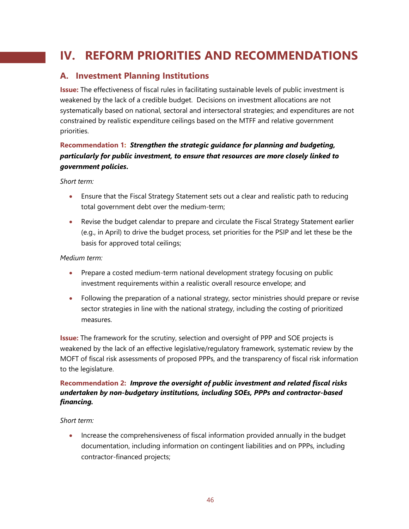## **IV. REFORM PRIORITIES AND RECOMMENDATIONS**

### **A. Investment Planning Institutions**

**Issue:** The effectiveness of fiscal rules in facilitating sustainable levels of public investment is weakened by the lack of a credible budget. Decisions on investment allocations are not systematically based on national, sectoral and intersectoral strategies; and expenditures are not constrained by realistic expenditure ceilings based on the MTFF and relative government priorities.

#### **Recommendation 1:** *Strengthen the strategic guidance for planning and budgeting, particularly for public investment, to ensure that resources are more closely linked to government policies***.**

*Short term:*

- Ensure that the Fiscal Strategy Statement sets out a clear and realistic path to reducing total government debt over the medium-term;
- Revise the budget calendar to prepare and circulate the Fiscal Strategy Statement earlier (e.g., in April) to drive the budget process, set priorities for the PSIP and let these be the basis for approved total ceilings;

#### *Medium term:*

- Prepare a costed medium-term national development strategy focusing on public investment requirements within a realistic overall resource envelope; and
- Following the preparation of a national strategy, sector ministries should prepare or revise sector strategies in line with the national strategy, including the costing of prioritized measures.

**Issue:** The framework for the scrutiny, selection and oversight of PPP and SOE projects is weakened by the lack of an effective legislative/regulatory framework, systematic review by the MOFT of fiscal risk assessments of proposed PPPs, and the transparency of fiscal risk information to the legislature.

#### **Recommendation 2:** *Improve the oversight of public investment and related fiscal risks undertaken by non-budgetary institutions, including SOEs, PPPs and contractor-based financing.*

#### *Short term:*

• Increase the comprehensiveness of fiscal information provided annually in the budget documentation, including information on contingent liabilities and on PPPs, including contractor-financed projects;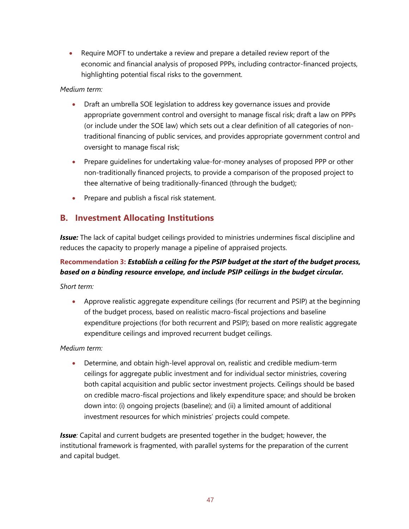• Require MOFT to undertake a review and prepare a detailed review report of the economic and financial analysis of proposed PPPs, including contractor-financed projects, highlighting potential fiscal risks to the government.

#### *Medium term:*

- Draft an umbrella SOE legislation to address key governance issues and provide appropriate government control and oversight to manage fiscal risk; draft a law on PPPs (or include under the SOE law) which sets out a clear definition of all categories of nontraditional financing of public services, and provides appropriate government control and oversight to manage fiscal risk;
- Prepare guidelines for undertaking value-for-money analyses of proposed PPP or other non-traditionally financed projects, to provide a comparison of the proposed project to thee alternative of being traditionally-financed (through the budget);
- Prepare and publish a fiscal risk statement.

### **B. Investment Allocating Institutions**

*Issue:* The lack of capital budget ceilings provided to ministries undermines fiscal discipline and reduces the capacity to properly manage a pipeline of appraised projects.

#### **Recommendation 3:** *Establish a ceiling for the PSIP budget at the start of the budget process, based on a binding resource envelope, and include PSIP ceilings in the budget circular.*

*Short term:*

• Approve realistic aggregate expenditure ceilings (for recurrent and PSIP) at the beginning of the budget process, based on realistic macro-fiscal projections and baseline expenditure projections (for both recurrent and PSIP); based on more realistic aggregate expenditure ceilings and improved recurrent budget ceilings.

#### *Medium term:*

• Determine, and obtain high-level approval on, realistic and credible medium-term ceilings for aggregate public investment and for individual sector ministries, covering both capital acquisition and public sector investment projects. Ceilings should be based on credible macro-fiscal projections and likely expenditure space; and should be broken down into: (i) ongoing projects (baseline); and (ii) a limited amount of additional investment resources for which ministries' projects could compete.

**Issue**: Capital and current budgets are presented together in the budget; however, the institutional framework is fragmented, with parallel systems for the preparation of the current and capital budget.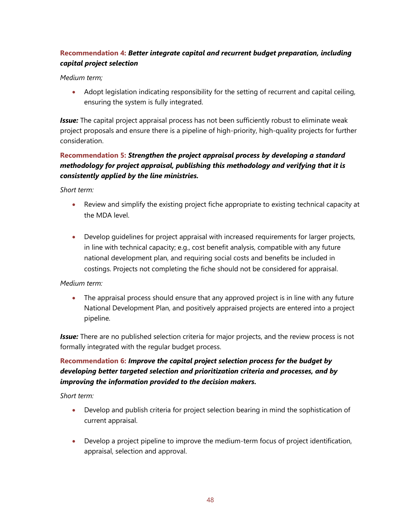### **Recommendation 4:** *Better integrate capital and recurrent budget preparation, including capital project selection*

#### *Medium term;*

• Adopt legislation indicating responsibility for the setting of recurrent and capital ceiling, ensuring the system is fully integrated.

*Issue:* The capital project appraisal process has not been sufficiently robust to eliminate weak project proposals and ensure there is a pipeline of high-priority, high-quality projects for further consideration.

#### **Recommendation 5:** *Strengthen the project appraisal process by developing a standard methodology for project appraisal, publishing this methodology and verifying that it is consistently applied by the line ministries.*

*Short term:*

- Review and simplify the existing project fiche appropriate to existing technical capacity at the MDA level.
- Develop quidelines for project appraisal with increased requirements for larger projects, in line with technical capacity; e.g., cost benefit analysis, compatible with any future national development plan, and requiring social costs and benefits be included in costings. Projects not completing the fiche should not be considered for appraisal.

#### *Medium term:*

• The appraisal process should ensure that any approved project is in line with any future National Development Plan, and positively appraised projects are entered into a project pipeline.

*Issue:* There are no published selection criteria for major projects, and the review process is not formally integrated with the regular budget process.

#### **Recommendation 6:** *Improve the capital project selection process for the budget by developing better targeted selection and prioritization criteria and processes, and by improving the information provided to the decision makers.*

*Short term:*

- Develop and publish criteria for project selection bearing in mind the sophistication of current appraisal.
- Develop a project pipeline to improve the medium-term focus of project identification, appraisal, selection and approval.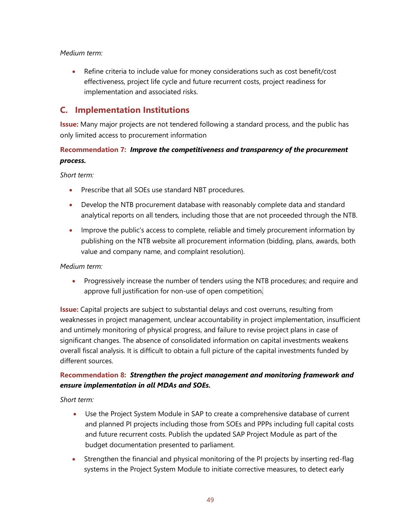#### *Medium term:*

• Refine criteria to include value for money considerations such as cost benefit/cost effectiveness, project life cycle and future recurrent costs, project readiness for implementation and associated risks.

### **C. Implementation Institutions**

**Issue:** Many major projects are not tendered following a standard process, and the public has only limited access to procurement information

#### **Recommendation 7:** *Improve the competitiveness and transparency of the procurement process.*

*Short term:*

- Prescribe that all SOEs use standard NBT procedures.
- Develop the NTB procurement database with reasonably complete data and standard analytical reports on all tenders, including those that are not proceeded through the NTB.
- Improve the public's access to complete, reliable and timely procurement information by publishing on the NTB website all procurement information (bidding, plans, awards, both value and company name, and complaint resolution).

#### *Medium term:*

• Progressively increase the number of tenders using the NTB procedures; and require and approve full justification for non-use of open competition.

**Issue:** Capital projects are subject to substantial delays and cost overruns, resulting from weaknesses in project management, unclear accountability in project implementation, insufficient and untimely monitoring of physical progress, and failure to revise project plans in case of significant changes. The absence of consolidated information on capital investments weakens overall fiscal analysis. It is difficult to obtain a full picture of the capital investments funded by different sources.

#### **Recommendation 8:** *Strengthen the project management and monitoring framework and ensure implementation in all MDAs and SOEs.*

*Short term:*

- Use the Project System Module in SAP to create a comprehensive database of current and planned PI projects including those from SOEs and PPPs including full capital costs and future recurrent costs. Publish the updated SAP Project Module as part of the budget documentation presented to parliament.
- Strengthen the financial and physical monitoring of the PI projects by inserting red-flag systems in the Project System Module to initiate corrective measures, to detect early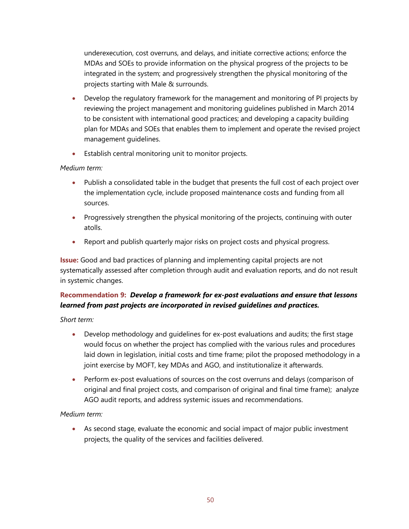underexecution, cost overruns, and delays, and initiate corrective actions; enforce the MDAs and SOEs to provide information on the physical progress of the projects to be integrated in the system; and progressively strengthen the physical monitoring of the projects starting with Male & surrounds.

- Develop the regulatory framework for the management and monitoring of PI projects by reviewing the project management and monitoring guidelines published in March 2014 to be consistent with international good practices; and developing a capacity building plan for MDAs and SOEs that enables them to implement and operate the revised project management guidelines.
- Establish central monitoring unit to monitor projects.

#### *Medium term:*

- Publish a consolidated table in the budget that presents the full cost of each project over the implementation cycle, include proposed maintenance costs and funding from all sources.
- Progressively strengthen the physical monitoring of the projects, continuing with outer atolls.
- Report and publish quarterly major risks on project costs and physical progress.

**Issue:** Good and bad practices of planning and implementing capital projects are not systematically assessed after completion through audit and evaluation reports, and do not result in systemic changes.

#### **Recommendation 9:** *Develop a framework for ex-post evaluations and ensure that lessons learned from past projects are incorporated in revised guidelines and practices.*

*Short term:*

- Develop methodology and guidelines for ex-post evaluations and audits; the first stage would focus on whether the project has complied with the various rules and procedures laid down in legislation, initial costs and time frame; pilot the proposed methodology in a joint exercise by MOFT, key MDAs and AGO, and institutionalize it afterwards.
- Perform ex-post evaluations of sources on the cost overruns and delays (comparison of original and final project costs, and comparison of original and final time frame); analyze AGO audit reports, and address systemic issues and recommendations.

#### *Medium term:*

• As second stage, evaluate the economic and social impact of major public investment projects, the quality of the services and facilities delivered.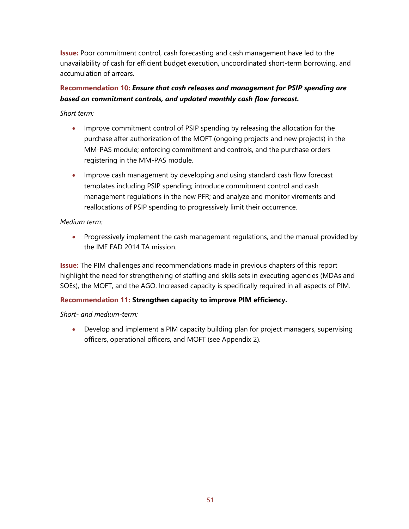**Issue:** Poor commitment control, cash forecasting and cash management have led to the unavailability of cash for efficient budget execution, uncoordinated short-term borrowing, and accumulation of arrears.

#### **Recommendation 10:** *Ensure that cash releases and management for PSIP spending are based on commitment controls, and updated monthly cash flow forecast.*

#### *Short term:*

- Improve commitment control of PSIP spending by releasing the allocation for the purchase after authorization of the MOFT (ongoing projects and new projects) in the MM-PAS module; enforcing commitment and controls, and the purchase orders registering in the MM-PAS module.
- Improve cash management by developing and using standard cash flow forecast templates including PSIP spending; introduce commitment control and cash management regulations in the new PFR; and analyze and monitor virements and reallocations of PSIP spending to progressively limit their occurrence.

#### *Medium term:*

• Progressively implement the cash management regulations, and the manual provided by the IMF FAD 2014 TA mission.

**Issue:** The PIM challenges and recommendations made in previous chapters of this report highlight the need for strengthening of staffing and skills sets in executing agencies (MDAs and SOEs), the MOFT, and the AGO. Increased capacity is specifically required in all aspects of PIM.

#### **Recommendation 11: Strengthen capacity to improve PIM efficiency.**

*Short- and medium-term:*

• Develop and implement a PIM capacity building plan for project managers, supervising officers, operational officers, and MOFT (see Appendix 2).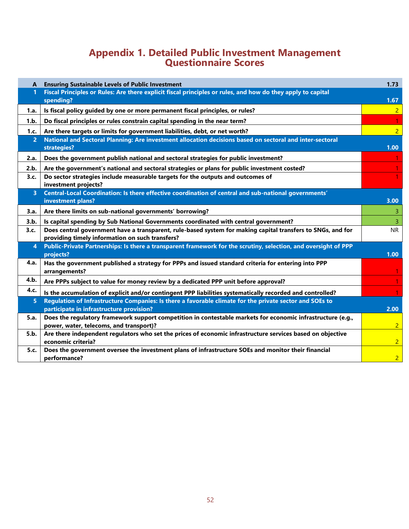## **Appendix 1. Detailed Public Investment Management Questionnaire Scores**

| A              | <b>Ensuring Sustainable Levels of Public Investment</b>                                                                                                                                 | 1.73           |
|----------------|-----------------------------------------------------------------------------------------------------------------------------------------------------------------------------------------|----------------|
| 1              | Fiscal Principles or Rules: Are there explicit fiscal principles or rules, and how do they apply to capital<br>spending?                                                                | 1.67           |
| 1.a.           | Is fiscal policy guided by one or more permanent fiscal principles, or rules?                                                                                                           | 2 <sup>1</sup> |
| 1.b.           | Do fiscal principles or rules constrain capital spending in the near term?                                                                                                              |                |
|                |                                                                                                                                                                                         | $\overline{2}$ |
| 1.c.<br>2      | Are there targets or limits for government liabilities, debt, or net worth?<br>National and Sectoral Planning: Are investment allocation decisions based on sectoral and inter-sectoral |                |
|                | strategies?                                                                                                                                                                             | 1.00           |
| 2.a.           | Does the government publish national and sectoral strategies for public investment?                                                                                                     |                |
| 2.b.           | Are the government's national and sectoral strategies or plans for public investment costed?                                                                                            |                |
| 3.c.           | Do sector strategies include measurable targets for the outputs and outcomes of                                                                                                         |                |
|                | investment projects?                                                                                                                                                                    |                |
| $\overline{3}$ | Central-Local Coordination: Is there effective coordination of central and sub-national governments'                                                                                    |                |
|                | investment plans?                                                                                                                                                                       | 3.00           |
| 3.a.           | Are there limits on sub-national governments' borrowing?                                                                                                                                | $\mathbf{3}$   |
| 3.b.           | Is capital spending by Sub National Governments coordinated with central government?                                                                                                    | $\overline{3}$ |
| 3.c.           | Does central government have a transparent, rule-based system for making capital transfers to SNGs, and for                                                                             | <b>NR</b>      |
|                | providing timely information on such transfers?                                                                                                                                         |                |
| 4              | Public-Private Partnerships: Is there a transparent framework for the scrutiny, selection, and oversight of PPP<br>projects?                                                            | 1.00           |
| 4.a.           | Has the government published a strategy for PPPs and issued standard criteria for entering into PPP                                                                                     |                |
|                | arrangements?                                                                                                                                                                           |                |
| 4.b.           | Are PPPs subject to value for money review by a dedicated PPP unit before approval?                                                                                                     | $\mathbf{1}$   |
| 4.c.           | Is the accumulation of explicit and/or contingent PPP liabilities systematically recorded and controlled?                                                                               |                |
| 5              | Regulation of Infrastructure Companies: Is there a favorable climate for the private sector and SOEs to                                                                                 |                |
|                | participate in infrastructure provision?                                                                                                                                                | 2.00           |
| 5.a.           | Does the regulatory framework support competition in contestable markets for economic infrastructure (e.g.,                                                                             |                |
|                | power, water, telecoms, and transport)?                                                                                                                                                 | 2 <sup>1</sup> |
| 5.b.           | Are there independent regulators who set the prices of economic infrastructure services based on objective<br>economic criteria?                                                        | $\overline{2}$ |
| 5.c.           | Does the government oversee the investment plans of infrastructure SOEs and monitor their financial                                                                                     |                |
|                | performance?                                                                                                                                                                            | 2 <sup>1</sup> |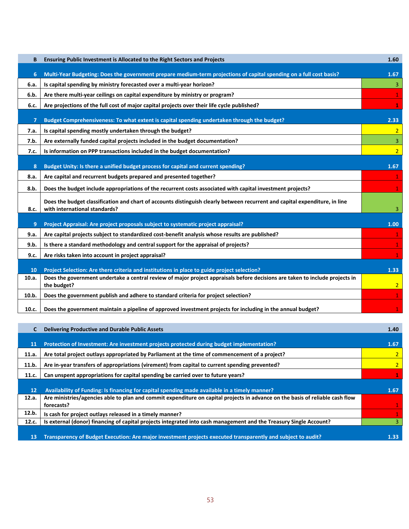| B           | Ensuring Public Investment is Allocated to the Right Sectors and Projects                                                                                                                                                   | 1.60           |
|-------------|-----------------------------------------------------------------------------------------------------------------------------------------------------------------------------------------------------------------------------|----------------|
| 6           | Multi-Year Budgeting: Does the government prepare medium-term projections of capital spending on a full cost basis?                                                                                                         | 1.67           |
| 6.a.        | Is capital spending by ministry forecasted over a multi-year horizon?                                                                                                                                                       | $\overline{3}$ |
| 6.b.        | Are there multi-year ceilings on capital expenditure by ministry or program?                                                                                                                                                | $\mathbf{1}$   |
| 6.c.        | Are projections of the full cost of major capital projects over their life cycle published?                                                                                                                                 | $\mathbf{1}$   |
| 7           | Budget Comprehensiveness: To what extent is capital spending undertaken through the budget?                                                                                                                                 | 2.33           |
| 7.a.        | Is capital spending mostly undertaken through the budget?                                                                                                                                                                   | 2 <sup>1</sup> |
| 7.b.        | Are externally funded capital projects included in the budget documentation?                                                                                                                                                | 3              |
| 7.c.        | Is information on PPP transactions included in the budget documentation?                                                                                                                                                    | $\overline{2}$ |
| 8           | Budget Unity: Is there a unified budget process for capital and current spending?                                                                                                                                           | 1.67           |
| 8.a.        | Are capital and recurrent budgets prepared and presented together?                                                                                                                                                          | $\mathbf{1}$   |
| 8.b.        | Does the budget include appropriations of the recurrent costs associated with capital investment projects?                                                                                                                  |                |
| 8.c.        | Does the budget classification and chart of accounts distinguish clearly between recurrent and capital expenditure, in line<br>with international standards?                                                                | 3              |
| 9           | Project Appraisal: Are project proposals subject to systematic project appraisal?                                                                                                                                           | 1.00           |
| 9.a.        | Are capital projects subject to standardized cost-benefit analysis whose results are published?                                                                                                                             |                |
| 9.b.        | Is there a standard methodology and central support for the appraisal of projects?                                                                                                                                          | $\mathbf{1}$   |
| 9.c.        | Are risks taken into account in project appraisal?                                                                                                                                                                          | $\mathbf{1}$   |
|             |                                                                                                                                                                                                                             |                |
| 10<br>10.a. | Project Selection: Are there criteria and institutions in place to guide project selection?<br>Does the government undertake a central review of major project appraisals before decisions are taken to include projects in | 1.33           |
|             | the budget?                                                                                                                                                                                                                 | $\overline{2}$ |
| 10.b.       | Does the government publish and adhere to standard criteria for project selection?                                                                                                                                          | $\mathbf{1}$   |
| 10.c.       | Does the government maintain a pipeline of approved investment projects for including in the annual budget?                                                                                                                 |                |

|           | <b>Delivering Productive and Durable Public Assets</b>                                                                                      | 1.40           |
|-----------|---------------------------------------------------------------------------------------------------------------------------------------------|----------------|
| -11       | Protection of Investment: Are investment projects protected during budget implementation?                                                   | 1.67           |
| 11.a.     | Are total project outlays appropriated by Parliament at the time of commencement of a project?                                              |                |
| 11.b.     | Are in-year transfers of appropriations (virement) from capital to current spending prevented?                                              | $\overline{2}$ |
| 11.c.     | Can unspent appropriations for capital spending be carried over to future years?                                                            |                |
| <b>12</b> | Availability of Funding: Is financing for capital spending made available in a timely manner?                                               | 1.67           |
| 12.a.     | Are ministries/agencies able to plan and commit expenditure on capital projects in advance on the basis of reliable cash flow<br>forecasts? |                |
| 12.b.     | Is cash for project outlays released in a timely manner?                                                                                    |                |
| 12.c.     | Is external (donor) financing of capital projects integrated into cash management and the Treasury Single Account?                          |                |
| 13        | Transparency of Budget Execution: Are major investment projects executed transparently and subject to audit?                                | 1.33           |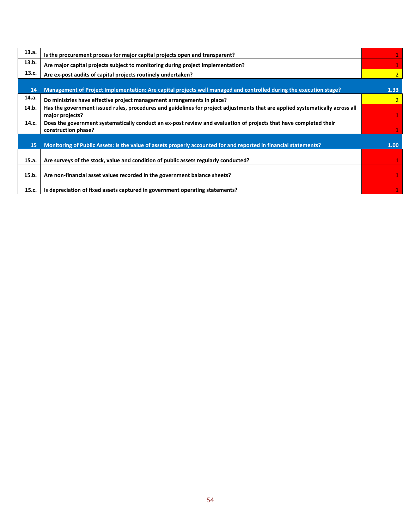| 13.a. | Is the procurement process for major capital projects open and transparent?                                                   |                   |
|-------|-------------------------------------------------------------------------------------------------------------------------------|-------------------|
| 13.b. | Are major capital projects subject to monitoring during project implementation?                                               |                   |
| 13.c. | Are ex-post audits of capital projects routinely undertaken?                                                                  | $\overline{2}$    |
|       |                                                                                                                               |                   |
| 14    | Management of Project Implementation: Are capital projects well managed and controlled during the execution stage?            | 1.33 <sub>1</sub> |
| 14.a. | Do ministries have effective project management arrangements in place?                                                        | $\overline{2}$    |
| 14.b. | Has the government issued rules, procedures and guidelines for project adjustments that are applied systematically across all |                   |
|       | major projects?                                                                                                               |                   |
| 14.c. | Does the government systematically conduct an ex-post review and evaluation of projects that have completed their             |                   |
|       | construction phase?                                                                                                           |                   |
|       |                                                                                                                               |                   |
| 15    | Monitoring of Public Assets: Is the value of assets properly accounted for and reported in financial statements?              | 1.00              |
|       |                                                                                                                               |                   |
| 15.a. | Are surveys of the stock, value and condition of public assets regularly conducted?                                           |                   |
|       |                                                                                                                               |                   |
| 15.b. | Are non-financial asset values recorded in the government balance sheets?                                                     |                   |
|       |                                                                                                                               |                   |
| 15.c. | Is depreciation of fixed assets captured in government operating statements?                                                  |                   |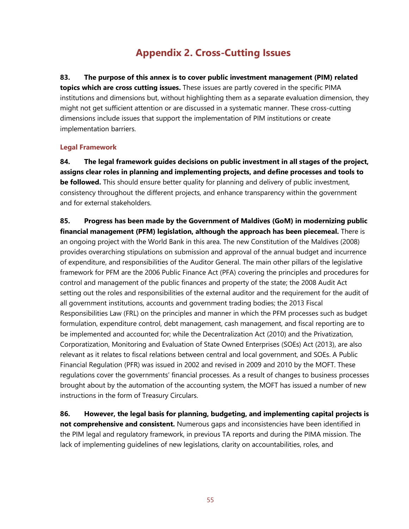## **Appendix 2. Cross-Cutting Issues**

**83. The purpose of this annex is to cover public investment management (PIM) related topics which are cross cutting issues.** These issues are partly covered in the specific PIMA institutions and dimensions but, without highlighting them as a separate evaluation dimension, they might not get sufficient attention or are discussed in a systematic manner. These cross-cutting dimensions include issues that support the implementation of PIM institutions or create implementation barriers.

#### **Legal Framework**

**84. The legal framework guides decisions on public investment in all stages of the project, assigns clear roles in planning and implementing projects, and define processes and tools to be followed.** This should ensure better quality for planning and delivery of public investment, consistency throughout the different projects, and enhance transparency within the government and for external stakeholders.

**85. Progress has been made by the Government of Maldives (GoM) in modernizing public financial management (PFM) legislation, although the approach has been piecemeal.** There is an ongoing project with the World Bank in this area. The new Constitution of the Maldives (2008) provides overarching stipulations on submission and approval of the annual budget and incurrence of expenditure, and responsibilities of the Auditor General. The main other pillars of the legislative framework for PFM are the 2006 Public Finance Act (PFA) covering the principles and procedures for control and management of the public finances and property of the state; the 2008 Audit Act setting out the roles and responsibilities of the external auditor and the requirement for the audit of all government institutions, accounts and government trading bodies; the 2013 Fiscal Responsibilities Law (FRL) on the principles and manner in which the PFM processes such as budget formulation, expenditure control, debt management, cash management, and fiscal reporting are to be implemented and accounted for; while the Decentralization Act (2010) and the Privatization, Corporatization, Monitoring and Evaluation of State Owned Enterprises (SOEs) Act (2013), are also relevant as it relates to fiscal relations between central and local government, and SOEs. A Public Financial Regulation (PFR) was issued in 2002 and revised in 2009 and 2010 by the MOFT. These regulations cover the governments' financial processes. As a result of changes to business processes brought about by the automation of the accounting system, the MOFT has issued a number of new instructions in the form of Treasury Circulars.

**86. However, the legal basis for planning, budgeting, and implementing capital projects is not comprehensive and consistent.** Numerous gaps and inconsistencies have been identified in the PIM legal and regulatory framework, in previous TA reports and during the PIMA mission. The lack of implementing guidelines of new legislations, clarity on accountabilities, roles, and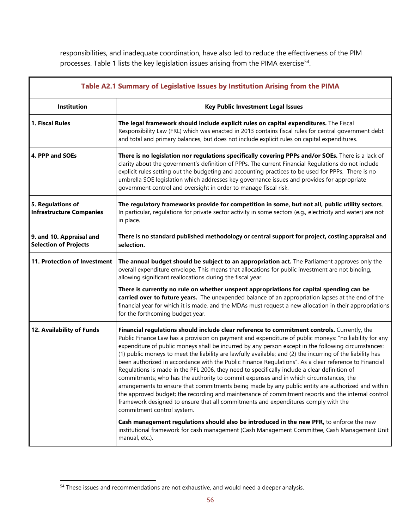responsibilities, and inadequate coordination, have also led to reduce the effectiveness of the PIM processes. Table 1 lists the key legislation issues arising from the PIMA exercise<sup>[54](#page-56-0)</sup>.

| Table A2.1 Summary of Legislative Issues by Institution Arising from the PIMA |                                                                                                                                                                                                                                                                                                                                                                                                                                                                                                                                                                                                                                                                                                                                                                                                                                                                                                                                                                                                                                                           |  |  |
|-------------------------------------------------------------------------------|-----------------------------------------------------------------------------------------------------------------------------------------------------------------------------------------------------------------------------------------------------------------------------------------------------------------------------------------------------------------------------------------------------------------------------------------------------------------------------------------------------------------------------------------------------------------------------------------------------------------------------------------------------------------------------------------------------------------------------------------------------------------------------------------------------------------------------------------------------------------------------------------------------------------------------------------------------------------------------------------------------------------------------------------------------------|--|--|
| Institution                                                                   | <b>Key Public Investment Legal Issues</b>                                                                                                                                                                                                                                                                                                                                                                                                                                                                                                                                                                                                                                                                                                                                                                                                                                                                                                                                                                                                                 |  |  |
| 1. Fiscal Rules                                                               | The legal framework should include explicit rules on capital expenditures. The Fiscal<br>Responsibility Law (FRL) which was enacted in 2013 contains fiscal rules for central government debt<br>and total and primary balances, but does not include explicit rules on capital expenditures.                                                                                                                                                                                                                                                                                                                                                                                                                                                                                                                                                                                                                                                                                                                                                             |  |  |
| 4. PPP and SOEs                                                               | There is no legislation nor regulations specifically covering PPPs and/or SOEs. There is a lack of<br>clarity about the government's definition of PPPs. The current Financial Regulations do not include<br>explicit rules setting out the budgeting and accounting practices to be used for PPPs. There is no<br>umbrella SOE legislation which addresses key governance issues and provides for appropriate<br>government control and oversight in order to manage fiscal risk.                                                                                                                                                                                                                                                                                                                                                                                                                                                                                                                                                                        |  |  |
| 5. Regulations of<br><b>Infrastructure Companies</b>                          | The regulatory frameworks provide for competition in some, but not all, public utility sectors.<br>In particular, regulations for private sector activity in some sectors (e.g., electricity and water) are not<br>in place.                                                                                                                                                                                                                                                                                                                                                                                                                                                                                                                                                                                                                                                                                                                                                                                                                              |  |  |
| 9. and 10. Appraisal and<br><b>Selection of Projects</b>                      | There is no standard published methodology or central support for project, costing appraisal and<br>selection.                                                                                                                                                                                                                                                                                                                                                                                                                                                                                                                                                                                                                                                                                                                                                                                                                                                                                                                                            |  |  |
| 11. Protection of Investment                                                  | The annual budget should be subject to an appropriation act. The Parliament approves only the<br>overall expenditure envelope. This means that allocations for public investment are not binding,<br>allowing significant reallocations during the fiscal year.                                                                                                                                                                                                                                                                                                                                                                                                                                                                                                                                                                                                                                                                                                                                                                                           |  |  |
|                                                                               | There is currently no rule on whether unspent appropriations for capital spending can be<br>carried over to future years. The unexpended balance of an appropriation lapses at the end of the<br>financial year for which it is made, and the MDAs must request a new allocation in their appropriations<br>for the forthcoming budget year.                                                                                                                                                                                                                                                                                                                                                                                                                                                                                                                                                                                                                                                                                                              |  |  |
| 12. Availability of Funds                                                     | Financial regulations should include clear reference to commitment controls. Currently, the<br>Public Finance Law has a provision on payment and expenditure of public moneys: "no liability for any<br>expenditure of public moneys shall be incurred by any person except in the following circumstances:<br>(1) public moneys to meet the liability are lawfully available; and (2) the incurring of the liability has<br>been authorized in accordance with the Public Finance Regulations". As a clear reference to Financial<br>Regulations is made in the PFL 2006, they need to specifically include a clear definition of<br>commitments; who has the authority to commit expenses and in which circumstances; the<br>arrangements to ensure that commitments being made by any public entity are authorized and within<br>the approved budget; the recording and maintenance of commitment reports and the internal control<br>framework designed to ensure that all commitments and expenditures comply with the<br>commitment control system. |  |  |
|                                                                               | Cash management regulations should also be introduced in the new PFR, to enforce the new<br>institutional framework for cash management (Cash Management Committee, Cash Management Unit<br>manual, etc.).                                                                                                                                                                                                                                                                                                                                                                                                                                                                                                                                                                                                                                                                                                                                                                                                                                                |  |  |

<span id="page-56-0"></span><sup>&</sup>lt;sup>54</sup> These issues and recommendations are not exhaustive, and would need a deeper analysis.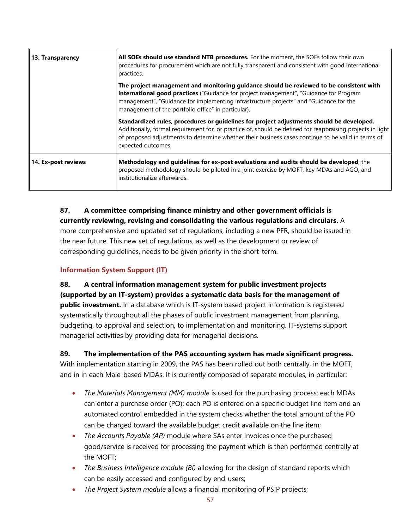| 13. Transparency    | All SOEs should use standard NTB procedures. For the moment, the SOEs follow their own<br>procedures for procurement which are not fully transparent and consistent with good International<br>practices.                                                                                                                           |
|---------------------|-------------------------------------------------------------------------------------------------------------------------------------------------------------------------------------------------------------------------------------------------------------------------------------------------------------------------------------|
|                     | The project management and monitoring guidance should be reviewed to be consistent with<br>international good practices ("Guidance for project management", "Guidance for Program<br>management", "Guidance for implementing infrastructure projects" and "Guidance for the<br>management of the portfolio office" in particular).  |
|                     | Standardized rules, procedures or guidelines for project adjustments should be developed.<br>Additionally, formal requirement for, or practice of, should be defined for reappraising projects in light<br>of proposed adjustments to determine whether their business cases continue to be valid in terms of<br>expected outcomes. |
| 14. Ex-post reviews | Methodology and guidelines for ex-post evaluations and audits should be developed; the<br>proposed methodology should be piloted in a joint exercise by MOFT, key MDAs and AGO, and<br>institutionalize afterwards.                                                                                                                 |

**87. A committee comprising finance ministry and other government officials is currently reviewing, revising and consolidating the various regulations and circulars.** A more comprehensive and updated set of regulations, including a new PFR, should be issued in the near future. This new set of regulations, as well as the development or review of corresponding guidelines, needs to be given priority in the short-term.

#### **Information System Support (IT)**

**88. A central information management system for public investment projects (supported by an IT-system) provides a systematic data basis for the management of public investment.** In a database which is IT-system based project information is registered systematically throughout all the phases of public investment management from planning, budgeting, to approval and selection, to implementation and monitoring. IT-systems support managerial activities by providing data for managerial decisions.

**89. The implementation of the PAS accounting system has made significant progress.**  With implementation starting in 2009, the PAS has been rolled out both centrally, in the MOFT, and in in each Male-based MDAs. It is currently composed of separate modules, in particular:

- *The Materials Management (MM) module* is used for the purchasing process: each MDAs can enter a purchase order (PO): each PO is entered on a specific budget line item and an automated control embedded in the system checks whether the total amount of the PO can be charged toward the available budget credit available on the line item;
- *The Accounts Payable (AP)* module where SAs enter invoices once the purchased good/service is received for processing the payment which is then performed centrally at the MOFT;
- *The Business Intelligence module (BI)* allowing for the design of standard reports which can be easily accessed and configured by end-users;
- *The Project System module* allows a financial monitoring of PSIP projects;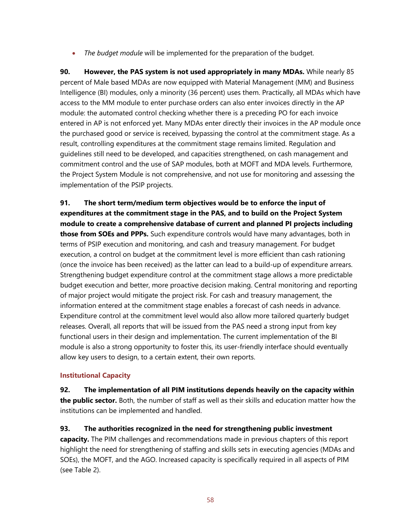• *The budget module* will be implemented for the preparation of the budget.

**90. However, the PAS system is not used appropriately in many MDAs.** While nearly 85 percent of Male based MDAs are now equipped with Material Management (MM) and Business Intelligence (BI) modules, only a minority (36 percent) uses them. Practically, all MDAs which have access to the MM module to enter purchase orders can also enter invoices directly in the AP module: the automated control checking whether there is a preceding PO for each invoice entered in AP is not enforced yet. Many MDAs enter directly their invoices in the AP module once the purchased good or service is received, bypassing the control at the commitment stage. As a result, controlling expenditures at the commitment stage remains limited. Regulation and guidelines still need to be developed, and capacities strengthened, on cash management and commitment control and the use of SAP modules, both at MOFT and MDA levels. Furthermore, the Project System Module is not comprehensive, and not use for monitoring and assessing the implementation of the PSIP projects.

**91. The short term/medium term objectives would be to enforce the input of expenditures at the commitment stage in the PAS, and to build on the Project System module to create a comprehensive database of current and planned PI projects including those from SOEs and PPPs.** Such expenditure controls would have many advantages, both in terms of PSIP execution and monitoring, and cash and treasury management. For budget execution, a control on budget at the commitment level is more efficient than cash rationing (once the invoice has been received) as the latter can lead to a build-up of expenditure arrears. Strengthening budget expenditure control at the commitment stage allows a more predictable budget execution and better, more proactive decision making. Central monitoring and reporting of major project would mitigate the project risk. For cash and treasury management, the information entered at the commitment stage enables a forecast of cash needs in advance. Expenditure control at the commitment level would also allow more tailored quarterly budget releases. Overall, all reports that will be issued from the PAS need a strong input from key functional users in their design and implementation. The current implementation of the BI module is also a strong opportunity to foster this, its user-friendly interface should eventually allow key users to design, to a certain extent, their own reports.

#### **Institutional Capacity**

**92. The implementation of all PIM institutions depends heavily on the capacity within the public sector.** Both, the number of staff as well as their skills and education matter how the institutions can be implemented and handled.

**93. The authorities recognized in the need for strengthening public investment capacity.** The PIM challenges and recommendations made in previous chapters of this report highlight the need for strengthening of staffing and skills sets in executing agencies (MDAs and SOEs), the MOFT, and the AGO. Increased capacity is specifically required in all aspects of PIM (see Table 2).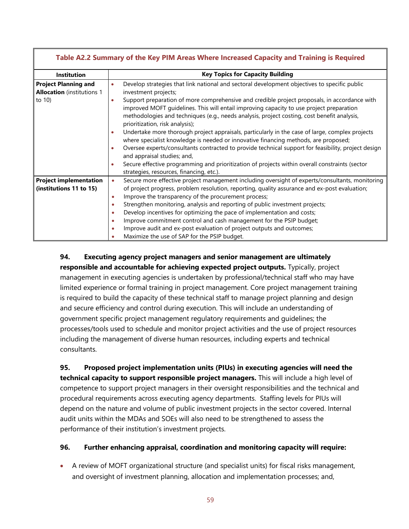| Table A2.2 Summary of the Key PIM Areas Where Increased Capacity and Training is Required |                                                                                                                                                                                                                                                                                                                              |  |  |
|-------------------------------------------------------------------------------------------|------------------------------------------------------------------------------------------------------------------------------------------------------------------------------------------------------------------------------------------------------------------------------------------------------------------------------|--|--|
| <b>Institution</b>                                                                        | <b>Key Topics for Capacity Building</b>                                                                                                                                                                                                                                                                                      |  |  |
| <b>Project Planning and</b><br><b>Allocation</b> (institutions 1                          | Develop strategies that link national and sectoral development objectives to specific public<br>investment projects;                                                                                                                                                                                                         |  |  |
| to 10)                                                                                    | Support preparation of more comprehensive and credible project proposals, in accordance with<br>improved MOFT guidelines. This will entail improving capacity to use project preparation<br>methodologies and techniques (e.g., needs analysis, project costing, cost benefit analysis,<br>prioritization, risk analysis);   |  |  |
|                                                                                           | Undertake more thorough project appraisals, particularly in the case of large, complex projects<br>where specialist knowledge is needed or innovative financing methods, are proposed;<br>Oversee experts/consultants contracted to provide technical support for feasibility, project design<br>and appraisal studies; and, |  |  |
|                                                                                           | Secure effective programming and prioritization of projects within overall constraints (sector<br>strategies, resources, financing, etc.).                                                                                                                                                                                   |  |  |
| <b>Project implementation</b>                                                             | Secure more effective project management including oversight of experts/consultants, monitoring                                                                                                                                                                                                                              |  |  |
| (institutions 11 to 15)                                                                   | of project progress, problem resolution, reporting, quality assurance and ex-post evaluation;<br>Improve the transparency of the procurement process;<br>$\bullet$                                                                                                                                                           |  |  |
|                                                                                           | Strengthen monitoring, analysis and reporting of public investment projects;                                                                                                                                                                                                                                                 |  |  |
|                                                                                           | Develop incentives for optimizing the pace of implementation and costs;                                                                                                                                                                                                                                                      |  |  |
|                                                                                           | Improve commitment control and cash management for the PSIP budget;                                                                                                                                                                                                                                                          |  |  |
|                                                                                           | Improve audit and ex-post evaluation of project outputs and outcomes;<br>Maximize the use of SAP for the PSIP budget.                                                                                                                                                                                                        |  |  |

### **94. Executing agency project managers and senior management are ultimately responsible and accountable for achieving expected project outputs.** Typically, project management in executing agencies is undertaken by professional/technical staff who may have limited experience or formal training in project management. Core project management training is required to build the capacity of these technical staff to manage project planning and design and secure efficiency and control during execution. This will include an understanding of government specific project management regulatory requirements and guidelines; the processes/tools used to schedule and monitor project activities and the use of project resources including the management of diverse human resources, including experts and technical consultants.

**95. Proposed project implementation units (PIUs) in executing agencies will need the technical capacity to support responsible project managers.** This will include a high level of competence to support project managers in their oversight responsibilities and the technical and procedural requirements across executing agency departments. Staffing levels for PIUs will depend on the nature and volume of public investment projects in the sector covered. Internal audit units within the MDAs and SOEs will also need to be strengthened to assess the performance of their institution's investment projects.

#### **96. Further enhancing appraisal, coordination and monitoring capacity will require:**

• A review of MOFT organizational structure (and specialist units) for fiscal risks management, and oversight of investment planning, allocation and implementation processes; and,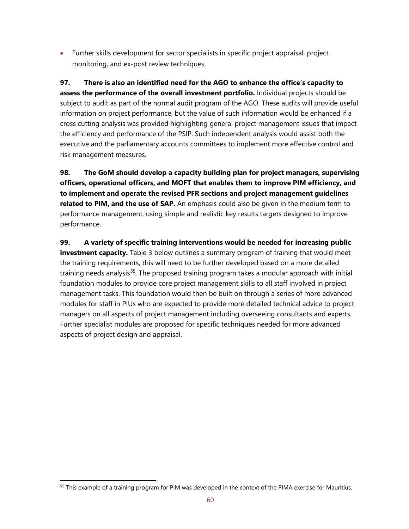• Further skills development for sector specialists in specific project appraisal, project monitoring, and ex-post review techniques.

**97. There is also an identified need for the AGO to enhance the office's capacity to assess the performance of the overall investment portfolio.** Individual projects should be subject to audit as part of the normal audit program of the AGO. These audits will provide useful information on project performance, but the value of such information would be enhanced if a cross cutting analysis was provided highlighting general project management issues that impact the efficiency and performance of the PSIP. Such independent analysis would assist both the executive and the parliamentary accounts committees to implement more effective control and risk management measures.

**98. The GoM should develop a capacity building plan for project managers, supervising officers, operational officers, and MOFT that enables them to improve PIM efficiency, and to implement and operate the revised PFR sections and project management guidelines related to PIM, and the use of SAP.** An emphasis could also be given in the medium term to performance management, using simple and realistic key results targets designed to improve performance.

**99. A variety of specific training interventions would be needed for increasing public investment capacity.** Table 3 below outlines a summary program of training that would meet the training requirements, this will need to be further developed based on a more detailed training needs analysis<sup>55</sup>. The proposed training program takes a modular approach with initial foundation modules to provide core project management skills to all staff involved in project management tasks. This foundation would then be built on through a series of more advanced modules for staff in PIUs who are expected to provide more detailed technical advice to project managers on all aspects of project management including overseeing consultants and experts. Further specialist modules are proposed for specific techniques needed for more advanced aspects of project design and appraisal.

<span id="page-60-0"></span><sup>&</sup>lt;sup>55</sup> This example of a training program for PIM was developed in the context of the PIMA exercise for Mauritius.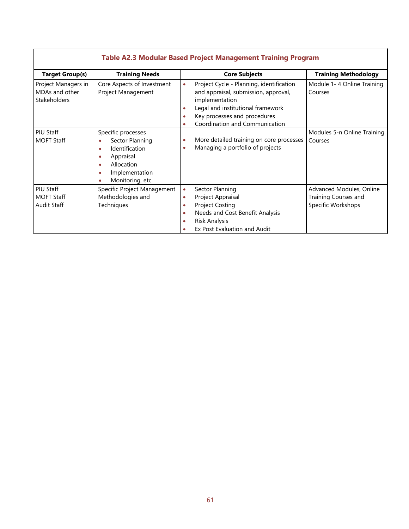| <b>Table AL.3 MOUGLAT Dased FTOJECt Management Framing FTOGram</b> |                                                                                                                                                      |                                                       |                                                                                                                                                                                                           |                                                                        |  |
|--------------------------------------------------------------------|------------------------------------------------------------------------------------------------------------------------------------------------------|-------------------------------------------------------|-----------------------------------------------------------------------------------------------------------------------------------------------------------------------------------------------------------|------------------------------------------------------------------------|--|
| <b>Target Group(s)</b>                                             | <b>Training Needs</b>                                                                                                                                |                                                       | <b>Core Subjects</b>                                                                                                                                                                                      | <b>Training Methodology</b>                                            |  |
| Project Managers in<br>MDAs and other<br>Stakeholders              | Core Aspects of Investment<br>Project Management                                                                                                     | $\bullet$<br>$\bullet$<br>$\bullet$<br>$\bullet$      | Project Cycle - Planning, identification<br>and appraisal, submission, approval,<br>implementation<br>Legal and institutional framework<br>Key processes and procedures<br>Coordination and Communication | Module 1-4 Online Training<br>Courses                                  |  |
| PIU Staff<br><b>MOFT Staff</b>                                     | Specific processes<br>Sector Planning<br>Identification<br>$\bullet$<br>Appraisal<br>٠<br>Allocation<br>٠<br>Implementation<br>Monitoring, etc.<br>۰ | $\bullet$<br>$\bullet$                                | More detailed training on core processes<br>Managing a portfolio of projects                                                                                                                              | Modules 5-n Online Training<br>Courses                                 |  |
| PIU Staff<br><b>MOFT Staff</b><br><b>Audit Staff</b>               | Specific Project Management<br>Methodologies and<br>Techniques                                                                                       | $\bullet$<br>$\bullet$<br>$\bullet$<br>۰<br>$\bullet$ | Sector Planning<br>Project Appraisal<br><b>Project Costing</b><br>Needs and Cost Benefit Analysis<br>Risk Analysis<br>Ex Post Evaluation and Audit                                                        | Advanced Modules, Online<br>Training Courses and<br>Specific Workshops |  |

## **Table A2.3 Modular Based Project Management Training Program**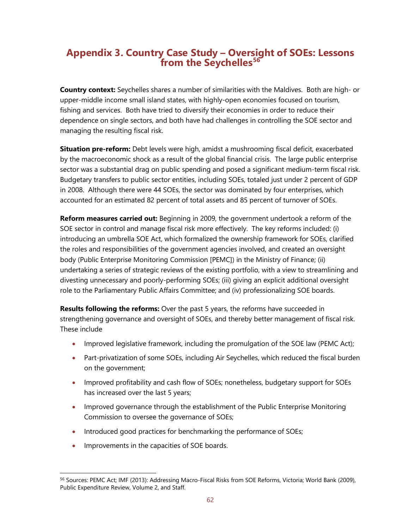## **Appendix 3. Country Case Study – Oversight of SOEs: Lessons from the Seychelles[56](#page-62-0)**

**Country context:** Seychelles shares a number of similarities with the Maldives. Both are high- or upper-middle income small island states, with highly-open economies focused on tourism, fishing and services. Both have tried to diversify their economies in order to reduce their dependence on single sectors, and both have had challenges in controlling the SOE sector and managing the resulting fiscal risk.

**Situation pre-reform:** Debt levels were high, amidst a mushrooming fiscal deficit, exacerbated by the macroeconomic shock as a result of the global financial crisis. The large public enterprise sector was a substantial drag on public spending and posed a significant medium-term fiscal risk. Budgetary transfers to public sector entities, including SOEs, totaled just under 2 percent of GDP in 2008. Although there were 44 SOEs, the sector was dominated by four enterprises, which accounted for an estimated 82 percent of total assets and 85 percent of turnover of SOEs.

**Reform measures carried out:** Beginning in 2009, the government undertook a reform of the SOE sector in control and manage fiscal risk more effectively. The key reforms included: (i) introducing an umbrella SOE Act, which formalized the ownership framework for SOEs, clarified the roles and responsibilities of the government agencies involved, and created an oversight body (Public Enterprise Monitoring Commission [PEMC]) in the Ministry of Finance; (ii) undertaking a series of strategic reviews of the existing portfolio, with a view to streamlining and divesting unnecessary and poorly-performing SOEs; (iii) giving an explicit additional oversight role to the Parliamentary Public Affairs Committee; and (iv) professionalizing SOE boards.

**Results following the reforms:** Over the past 5 years, the reforms have succeeded in strengthening governance and oversight of SOEs, and thereby better management of fiscal risk. These include

- Improved legislative framework, including the promulgation of the SOE law (PEMC Act);
- Part-privatization of some SOEs, including Air Seychelles, which reduced the fiscal burden on the government;
- Improved profitability and cash flow of SOEs; nonetheless, budgetary support for SOEs has increased over the last 5 years;
- Improved governance through the establishment of the Public Enterprise Monitoring Commission to oversee the governance of SOEs;
- Introduced good practices for benchmarking the performance of SOEs;
- Improvements in the capacities of SOE boards.

<span id="page-62-0"></span> <sup>56</sup> Sources: PEMC Act; IMF (2013): Addressing Macro-Fiscal Risks from SOE Reforms, Victoria; World Bank (2009), Public Expenditure Review, Volume 2, and Staff.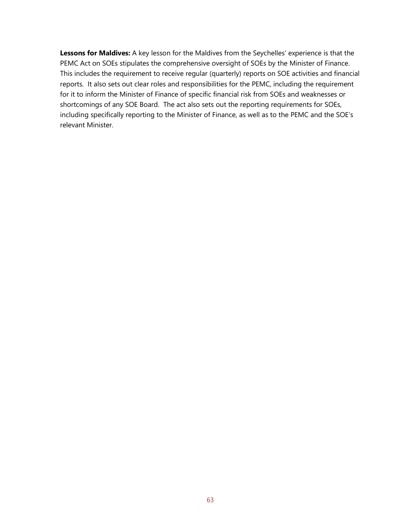**Lessons for Maldives:** A key lesson for the Maldives from the Seychelles' experience is that the PEMC Act on SOEs stipulates the comprehensive oversight of SOEs by the Minister of Finance. This includes the requirement to receive regular (quarterly) reports on SOE activities and financial reports. It also sets out clear roles and responsibilities for the PEMC, including the requirement for it to inform the Minister of Finance of specific financial risk from SOEs and weaknesses or shortcomings of any SOE Board. The act also sets out the reporting requirements for SOEs, including specifically reporting to the Minister of Finance, as well as to the PEMC and the SOE's relevant Minister.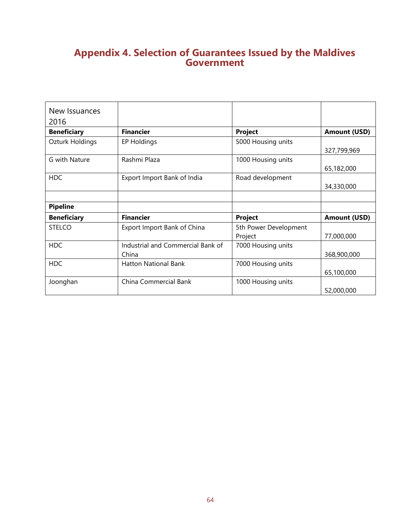## **Appendix 4. Selection of Guarantees Issued by the Maldives Government**

| New Issuances<br>2016 |                                            |                                  |                     |
|-----------------------|--------------------------------------------|----------------------------------|---------------------|
| <b>Beneficiary</b>    | <b>Financier</b>                           | Project                          | <b>Amount (USD)</b> |
| Ozturk Holdings       | EP Holdings                                | 5000 Housing units               | 327,799,969         |
| G with Nature         | Rashmi Plaza                               | 1000 Housing units               | 65,182,000          |
| <b>HDC</b>            | Export Import Bank of India                | Road development                 | 34,330,000          |
|                       |                                            |                                  |                     |
| <b>Pipeline</b>       |                                            |                                  |                     |
| <b>Beneficiary</b>    | <b>Financier</b>                           | Project                          | <b>Amount (USD)</b> |
| <b>STELCO</b>         | Export Import Bank of China                | 5th Power Development<br>Project | 77,000,000          |
| <b>HDC</b>            | Industrial and Commercial Bank of<br>China | 7000 Housing units               | 368,900,000         |
| <b>HDC</b>            | <b>Hatton National Bank</b>                | 7000 Housing units               | 65,100,000          |
| Joonghan              | China Commercial Bank                      | 1000 Housing units               | 52,000,000          |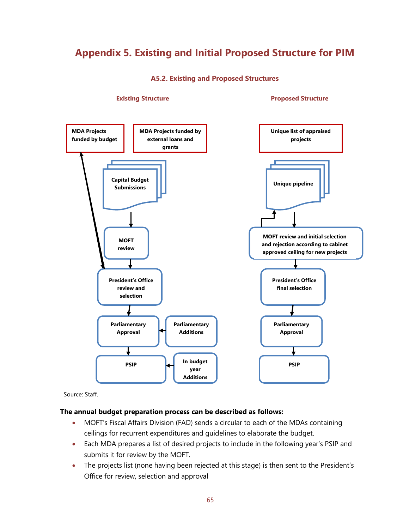## <span id="page-65-0"></span>**Appendix 5. Existing and Initial Proposed Structure for PIM**

**A5.2. Existing and Proposed Structures**



**Existing Structure Proposed Structure** 

Source: Staff.

#### **The annual budget preparation process can be described as follows:**

- MOFT's Fiscal Affairs Division (FAD) sends a circular to each of the MDAs containing ceilings for recurrent expenditures and guidelines to elaborate the budget.
- Each MDA prepares a list of desired projects to include in the following year's PSIP and submits it for review by the MOFT.
- The projects list (none having been rejected at this stage) is then sent to the President's Office for review, selection and approval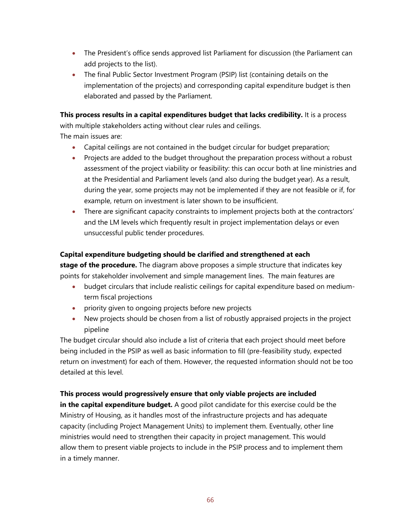- The President's office sends approved list Parliament for discussion (the Parliament can add projects to the list).
- The final Public Sector Investment Program (PSIP) list (containing details on the implementation of the projects) and corresponding capital expenditure budget is then elaborated and passed by the Parliament.

**This process results in a capital expenditures budget that lacks credibility.** It is a process with multiple stakeholders acting without clear rules and ceilings. The main issues are:

- Capital ceilings are not contained in the budget circular for budget preparation;
- Projects are added to the budget throughout the preparation process without a robust assessment of the project viability or feasibility: this can occur both at line ministries and at the Presidential and Parliament levels (and also during the budget year). As a result, during the year, some projects may not be implemented if they are not feasible or if, for example, return on investment is later shown to be insufficient.
- There are significant capacity constraints to implement projects both at the contractors' and the LM levels which frequently result in project implementation delays or even unsuccessful public tender procedures.

#### **Capital expenditure budgeting should be clarified and strengthened at each**

**stage of the procedure.** The diagram above proposes a simple structure that indicates key points for stakeholder involvement and simple management lines. The main features are

- budget circulars that include realistic ceilings for capital expenditure based on mediumterm fiscal projections
- priority given to ongoing projects before new projects
- New projects should be chosen from a list of robustly appraised projects in the project pipeline

The budget circular should also include a list of criteria that each project should meet before being included in the PSIP as well as basic information to fill (pre-feasibility study, expected return on investment) for each of them. However, the requested information should not be too detailed at this level.

#### **This process would progressively ensure that only viable projects are included**

**in the capital expenditure budget.** A good pilot candidate for this exercise could be the Ministry of Housing, as it handles most of the infrastructure projects and has adequate capacity (including Project Management Units) to implement them. Eventually, other line ministries would need to strengthen their capacity in project management. This would allow them to present viable projects to include in the PSIP process and to implement them in a timely manner.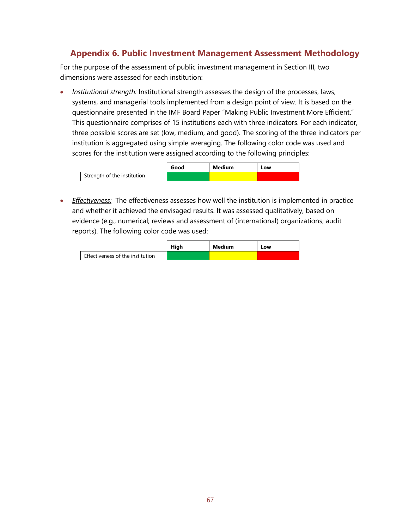### **Appendix 6. Public Investment Management Assessment Methodology**

For the purpose of the assessment of public investment management in Section III, two dimensions were assessed for each institution:

• *Institutional strength:* Institutional strength assesses the design of the processes, laws, systems, and managerial tools implemented from a design point of view. It is based on the questionnaire presented in the IMF Board Paper "Making Public Investment More Efficient." This questionnaire comprises of 15 institutions each with three indicators. For each indicator, three possible scores are set (low, medium, and good). The scoring of the three indicators per institution is aggregated using simple averaging. The following color code was used and scores for the institution were assigned according to the following principles:

|                             | Good | Medium | Low |
|-----------------------------|------|--------|-----|
| Strength of the institution |      |        |     |

• *Effectiveness:* The effectiveness assesses how well the institution is implemented in practice and whether it achieved the envisaged results. It was assessed qualitatively, based on evidence (e.g., numerical; reviews and assessment of (international) organizations; audit reports). The following color code was used:

|                                  | Hiah | Medium | Low |
|----------------------------------|------|--------|-----|
| Effectiveness of the institution |      |        |     |